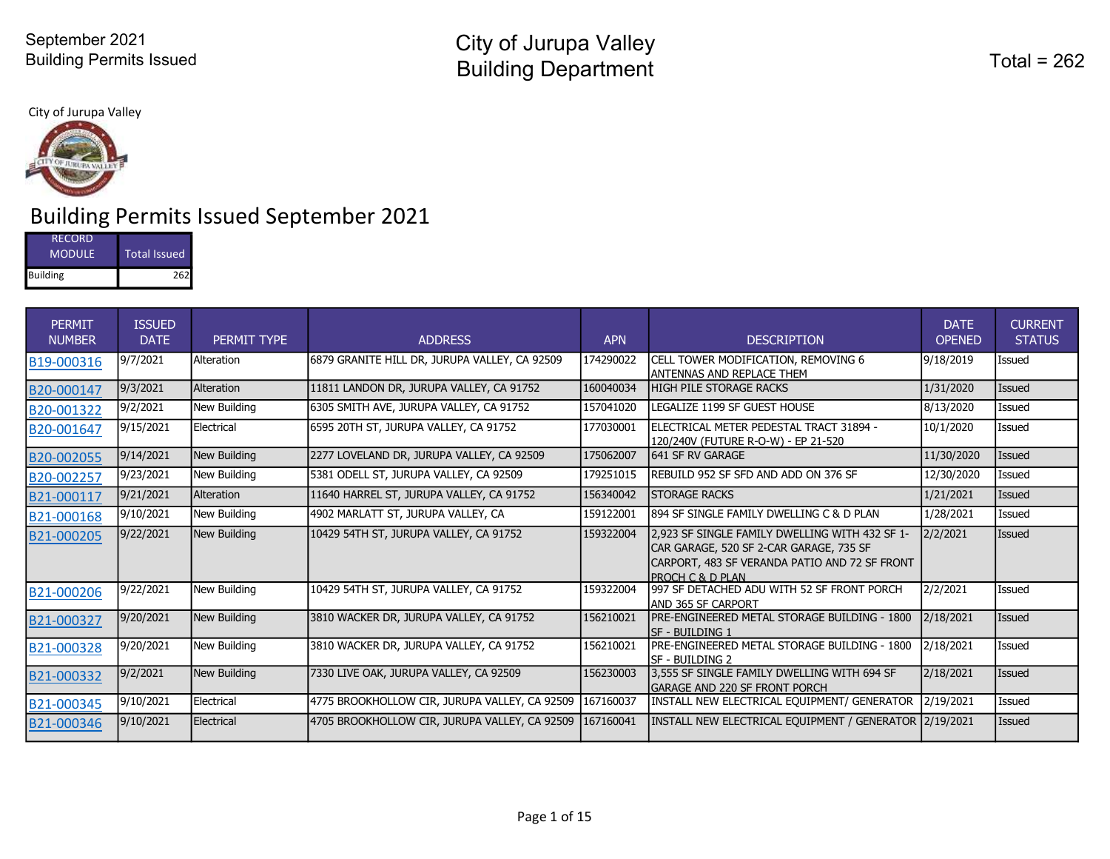City of Jurupa Valley



# Building Permits Issued September 2021

| RECORD          |              |
|-----------------|--------------|
| <b>MODULE</b>   | Total Issued |
| <b>Building</b> | 262          |

| PERMIT<br><b>NUMBER</b> | <b>ISSUED</b><br><b>DATE</b> | PERMIT TYPE  | <b>ADDRESS</b>                                 | <b>APN</b> | <b>DESCRIPTION</b>                                                                                                                                             | <b>DATE</b><br><b>OPENED</b> | <b>CURRENT</b><br><b>STATUS</b> |
|-------------------------|------------------------------|--------------|------------------------------------------------|------------|----------------------------------------------------------------------------------------------------------------------------------------------------------------|------------------------------|---------------------------------|
| B19-000316              | 9/7/2021                     | Alteration   | 6879 GRANITE HILL DR, JURUPA VALLEY, CA 92509  | 174290022  | CELL TOWER MODIFICATION, REMOVING 6<br>ANTENNAS AND REPLACE THEM                                                                                               | 9/18/2019                    | Issued                          |
| B20-000147              | 9/3/2021                     | Alteration   | 11811 LANDON DR, JURUPA VALLEY, CA 91752       | 160040034  | <b>HIGH PILE STORAGE RACKS</b>                                                                                                                                 | 1/31/2020                    | Issued                          |
| B20-001322              | 9/2/2021                     | New Building | 6305 SMITH AVE, JURUPA VALLEY, CA 91752        | 157041020  | LEGALIZE 1199 SF GUEST HOUSE                                                                                                                                   | 8/13/2020                    | Issued                          |
| B20-001647              | 9/15/2021                    | Electrical   | 6595 20TH ST, JURUPA VALLEY, CA 91752          | 177030001  | ELECTRICAL METER PEDESTAL TRACT 31894 -<br>120/240V (FUTURE R-O-W) - EP 21-520                                                                                 | 10/1/2020                    | Issued                          |
| B20-002055              | 9/14/2021                    | New Building | 2277 LOVELAND DR, JURUPA VALLEY, CA 92509      | 175062007  | 641 SF RV GARAGE                                                                                                                                               | 11/30/2020                   | <b>Issued</b>                   |
| B20-002257              | 9/23/2021                    | New Building | 5381 ODELL ST, JURUPA VALLEY, CA 92509         | 179251015  | REBUILD 952 SF SFD AND ADD ON 376 SF                                                                                                                           | 12/30/2020                   | Issued                          |
| B21-000117              | 9/21/2021                    | Alteration   | 11640 HARREL ST, JURUPA VALLEY, CA 91752       | 156340042  | <b>STORAGE RACKS</b>                                                                                                                                           | 1/21/2021                    | Issued                          |
| B21-000168              | 9/10/2021                    | New Building | 4902 MARLATT ST, JURUPA VALLEY, CA             | 159122001  | 894 SF SINGLE FAMILY DWELLING C & D PLAN                                                                                                                       | 1/28/2021                    | Issued                          |
| B21-000205              | 9/22/2021                    | New Building | 10429 54TH ST, JURUPA VALLEY, CA 91752         | 159322004  | 2.923 SF SINGLE FAMILY DWELLING WITH 432 SF 1-<br>CAR GARAGE, 520 SF 2-CAR GARAGE, 735 SF<br>CARPORT, 483 SF VERANDA PATIO AND 72 SF FRONT<br>PROCH C & D PLAN | 2/2/2021                     | Issued                          |
| B21-000206              | 9/22/2021                    | New Building | 10429 54TH ST, JURUPA VALLEY, CA 91752         | 159322004  | 997 SF DETACHED ADU WITH 52 SF FRONT PORCH<br><b>IAND 365 SF CARPORT</b>                                                                                       | 2/2/2021                     | Issued                          |
| B21-000327              | 9/20/2021                    | New Building | 3810 WACKER DR, JURUPA VALLEY, CA 91752        | 156210021  | PRE-ENGINEERED METAL STORAGE BUILDING - 1800<br>lsf - Building 1                                                                                               | 2/18/2021                    | Issued                          |
| B21-000328              | 9/20/2021                    | New Building | 3810 WACKER DR, JURUPA VALLEY, CA 91752        | 156210021  | PRE-ENGINEERED METAL STORAGE BUILDING - 1800<br>SF - BUILDING 2                                                                                                | 2/18/2021                    | Issued                          |
| B21-000332              | 9/2/2021                     | New Building | 7330 LIVE OAK, JURUPA VALLEY, CA 92509         | 156230003  | 3,555 SF SINGLE FAMILY DWELLING WITH 694 SF<br><b>GARAGE AND 220 SF FRONT PORCH</b>                                                                            | 2/18/2021                    | Issued                          |
| B21-000345              | 9/10/2021                    | Electrical   | 4775 BROOKHOLLOW CIR, JURUPA VALLEY, CA 92509  | 167160037  | INSTALL NEW ELECTRICAL EQUIPMENT/ GENERATOR                                                                                                                    | 2/19/2021                    | <b>Issued</b>                   |
| B21-000346              | 9/10/2021                    | Electrical   | 14705 BROOKHOLLOW CIR, JURUPA VALLEY, CA 92509 | 167160041  | INSTALL NEW ELECTRICAL EOUIPMENT / GENERATOR 2/19/2021                                                                                                         |                              | Issued                          |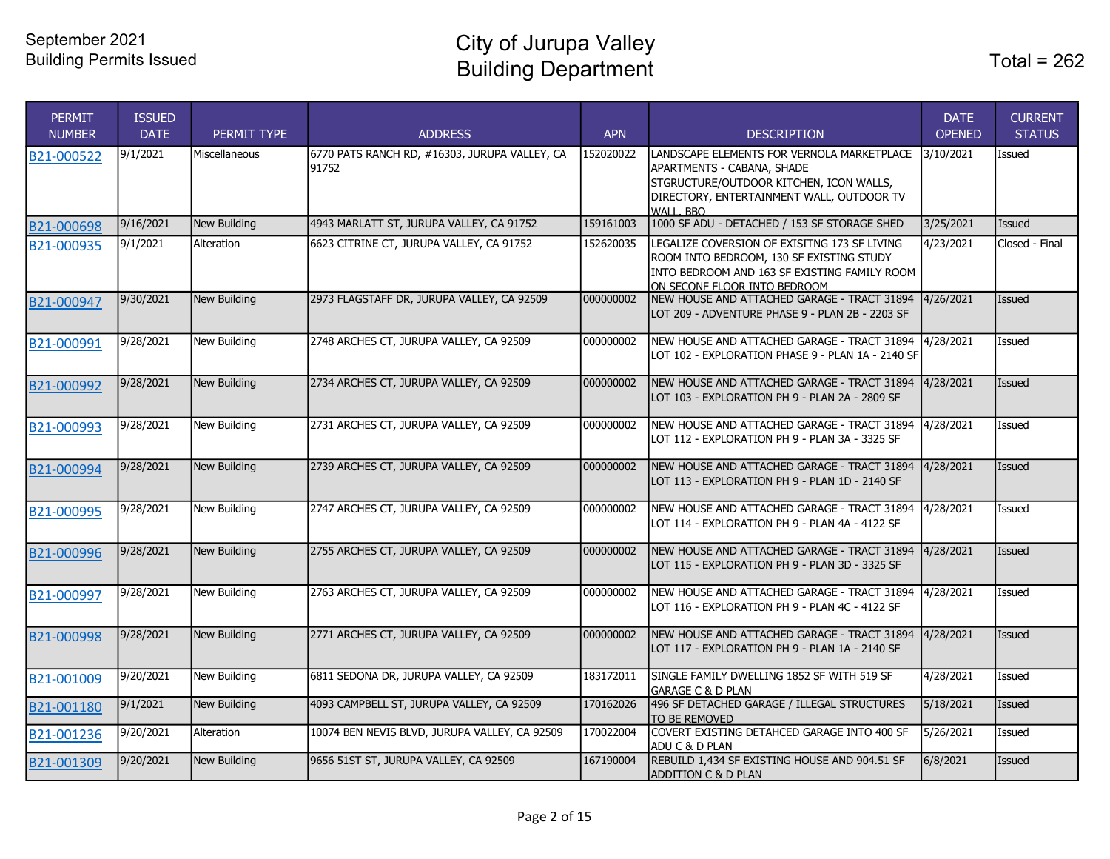City of Jurupa Valley Building Department

| <b>PERMIT</b><br><b>NUMBER</b> | <b>ISSUED</b><br><b>DATE</b> | PERMIT TYPE         | <b>ADDRESS</b>                                         | <b>APN</b> | <b>DESCRIPTION</b>                                                                                                                                                            | <b>DATE</b><br><b>OPENED</b> | <b>CURRENT</b><br><b>STATUS</b> |
|--------------------------------|------------------------------|---------------------|--------------------------------------------------------|------------|-------------------------------------------------------------------------------------------------------------------------------------------------------------------------------|------------------------------|---------------------------------|
| B21-000522                     | 9/1/2021                     | Miscellaneous       | 6770 PATS RANCH RD, #16303, JURUPA VALLEY, CA<br>91752 | 152020022  | LANDSCAPE ELEMENTS FOR VERNOLA MARKETPLACE<br>APARTMENTS - CABANA, SHADE<br>STGRUCTURE/OUTDOOR KITCHEN, ICON WALLS,<br>DIRECTORY, ENTERTAINMENT WALL, OUTDOOR TV<br>WALL, BBO | 3/10/2021                    | Issued                          |
| B21-000698                     | 9/16/2021                    | <b>New Building</b> | 4943 MARLATT ST, JURUPA VALLEY, CA 91752               | 159161003  | 1000 SF ADU - DETACHED / 153 SF STORAGE SHED                                                                                                                                  | 3/25/2021                    | <b>Issued</b>                   |
| B21-000935                     | 9/1/2021                     | Alteration          | 6623 CITRINE CT, JURUPA VALLEY, CA 91752               | 152620035  | LEGALIZE COVERSION OF EXISITNG 173 SF LIVING<br>ROOM INTO BEDROOM, 130 SF EXISTING STUDY<br>INTO BEDROOM AND 163 SF EXISTING FAMILY ROOM<br>ON SECONF FLOOR INTO BEDROOM      | 4/23/2021                    | Closed - Final                  |
| B21-000947                     | 9/30/2021                    | New Building        | 2973 FLAGSTAFF DR, JURUPA VALLEY, CA 92509             | 000000002  | INEW HOUSE AND ATTACHED GARAGE - TRACT 31894<br>LOT 209 - ADVENTURE PHASE 9 - PLAN 2B - 2203 SF                                                                               | 4/26/2021                    | <b>Issued</b>                   |
| B21-000991                     | 9/28/2021                    | <b>New Building</b> | 2748 ARCHES CT, JURUPA VALLEY, CA 92509                | 000000002  | NEW HOUSE AND ATTACHED GARAGE - TRACT 31894<br>LOT 102 - EXPLORATION PHASE 9 - PLAN 1A - 2140 SF                                                                              | 4/28/2021                    | Issued                          |
| B21-000992                     | 9/28/2021                    | <b>New Building</b> | 2734 ARCHES CT, JURUPA VALLEY, CA 92509                | 000000002  | NEW HOUSE AND ATTACHED GARAGE - TRACT 31894<br>LOT 103 - EXPLORATION PH 9 - PLAN 2A - 2809 SF                                                                                 | 4/28/2021                    | <b>Issued</b>                   |
| B21-000993                     | 9/28/2021                    | New Building        | 2731 ARCHES CT, JURUPA VALLEY, CA 92509                | 000000002  | NEW HOUSE AND ATTACHED GARAGE - TRACT 31894<br>LOT 112 - EXPLORATION PH 9 - PLAN 3A - 3325 SF                                                                                 | 4/28/2021                    | Issued                          |
| B21-000994                     | 9/28/2021                    | <b>New Building</b> | 2739 ARCHES CT, JURUPA VALLEY, CA 92509                | 000000002  | NEW HOUSE AND ATTACHED GARAGE - TRACT 31894<br>LOT 113 - EXPLORATION PH 9 - PLAN 1D - 2140 SF                                                                                 | 4/28/2021                    | Issued                          |
| B21-000995                     | 9/28/2021                    | New Building        | 2747 ARCHES CT, JURUPA VALLEY, CA 92509                | 000000002  | NEW HOUSE AND ATTACHED GARAGE - TRACT 31894 4/28/2021<br>LLOT 114 - EXPLORATION PH 9 - PLAN 4A - 4122 SF                                                                      |                              | <b>Issued</b>                   |
| B21-000996                     | 9/28/2021                    | <b>New Building</b> | 2755 ARCHES CT, JURUPA VALLEY, CA 92509                | 000000002  | NEW HOUSE AND ATTACHED GARAGE - TRACT 31894<br>LOT 115 - EXPLORATION PH 9 - PLAN 3D - 3325 SF                                                                                 | 4/28/2021                    | <b>Issued</b>                   |
| B21-000997                     | 9/28/2021                    | <b>New Building</b> | 2763 ARCHES CT, JURUPA VALLEY, CA 92509                | 000000002  | NEW HOUSE AND ATTACHED GARAGE - TRACT 31894 4/28/2021<br>LOT 116 - EXPLORATION PH 9 - PLAN 4C - 4122 SF                                                                       |                              | Issued                          |
| B21-000998                     | 9/28/2021                    | New Building        | 2771 ARCHES CT, JURUPA VALLEY, CA 92509                | 000000002  | INEW HOUSE AND ATTACHED GARAGE - TRACT 31894<br>LOT 117 - EXPLORATION PH 9 - PLAN 1A - 2140 SF                                                                                | 4/28/2021                    | <b>Issued</b>                   |
| B21-001009                     | 9/20/2021                    | New Building        | 6811 SEDONA DR, JURUPA VALLEY, CA 92509                | 183172011  | SINGLE FAMILY DWELLING 1852 SF WITH 519 SF<br><b>GARAGE C &amp; D PLAN</b>                                                                                                    | 4/28/2021                    | Issued                          |
| B21-001180                     | 9/1/2021                     | <b>New Building</b> | 4093 CAMPBELL ST, JURUPA VALLEY, CA 92509              | 170162026  | 496 SF DETACHED GARAGE / ILLEGAL STRUCTURES<br>TO BE REMOVED                                                                                                                  | 5/18/2021                    | Issued                          |
| B21-001236                     | 9/20/2021                    | Alteration          | 10074 BEN NEVIS BLVD, JURUPA VALLEY, CA 92509          | 170022004  | COVERT EXISTING DETAHCED GARAGE INTO 400 SF<br>ADU C & D PLAN                                                                                                                 | 5/26/2021                    | Issued                          |
| B21-001309                     | 9/20/2021                    | New Building        | 9656 51ST ST, JURUPA VALLEY, CA 92509                  | 167190004  | REBUILD 1,434 SF EXISTING HOUSE AND 904.51 SF<br><b>ADDITION C &amp; D PLAN</b>                                                                                               | 6/8/2021                     | <b>Issued</b>                   |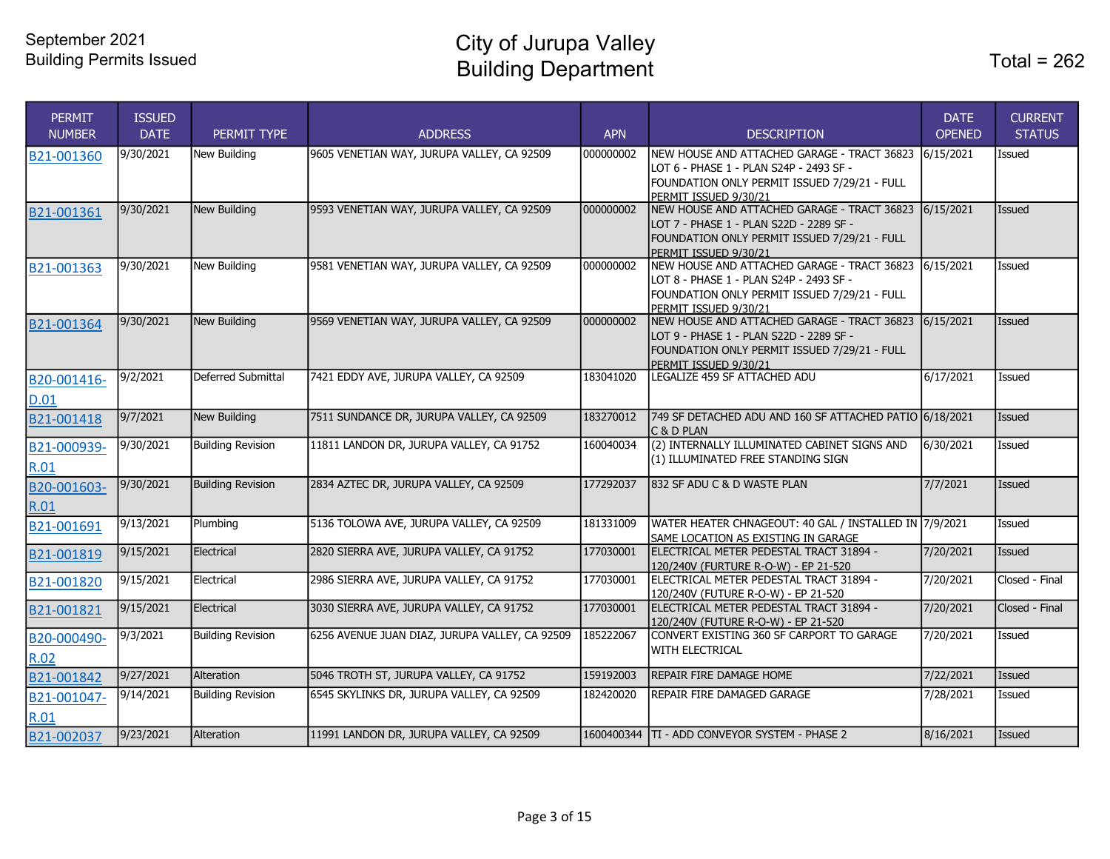City of Jurupa Valley Building Department Total = 262

| <b>PERMIT</b><br><b>NUMBER</b> | <b>ISSUED</b><br><b>DATE</b> | PERMIT TYPE              | <b>ADDRESS</b>                                 | <b>APN</b> | <b>DESCRIPTION</b>                                                                     | <b>DATE</b><br><b>OPENED</b> | <b>CURRENT</b><br><b>STATUS</b> |
|--------------------------------|------------------------------|--------------------------|------------------------------------------------|------------|----------------------------------------------------------------------------------------|------------------------------|---------------------------------|
| B21-001360                     | 9/30/2021                    | New Building             | 9605 VENETIAN WAY, JURUPA VALLEY, CA 92509     | 000000002  | NEW HOUSE AND ATTACHED GARAGE - TRACT 36823<br>LOT 6 - PHASE 1 - PLAN S24P - 2493 SF - | 6/15/2021                    | Issued                          |
|                                |                              |                          |                                                |            | FOUNDATION ONLY PERMIT ISSUED 7/29/21 - FULL                                           |                              |                                 |
|                                | 9/30/2021                    | New Building             | 9593 VENETIAN WAY, JURUPA VALLEY, CA 92509     | 000000002  | PERMIT ISSUED 9/30/21<br>NEW HOUSE AND ATTACHED GARAGE - TRACT 36823                   | 6/15/2021                    | Issued                          |
| B21-001361                     |                              |                          |                                                |            | LOT 7 - PHASE 1 - PLAN S22D - 2289 SF -                                                |                              |                                 |
|                                |                              |                          |                                                |            | FOUNDATION ONLY PERMIT ISSUED 7/29/21 - FULL                                           |                              |                                 |
|                                |                              |                          |                                                |            | PERMIT ISSUED 9/30/21                                                                  |                              |                                 |
| B21-001363                     | 9/30/2021                    | New Building             | 9581 VENETIAN WAY, JURUPA VALLEY, CA 92509     | 000000002  | NEW HOUSE AND ATTACHED GARAGE - TRACT 36823 6/15/2021                                  |                              | Issued                          |
|                                |                              |                          |                                                |            | LOT 8 - PHASE 1 - PLAN S24P - 2493 SF -                                                |                              |                                 |
|                                |                              |                          |                                                |            | FOUNDATION ONLY PERMIT ISSUED 7/29/21 - FULL                                           |                              |                                 |
|                                |                              |                          |                                                |            | PERMIT ISSUED 9/30/21                                                                  |                              |                                 |
| B21-001364                     | 9/30/2021                    | New Building             | 9569 VENETIAN WAY, JURUPA VALLEY, CA 92509     | 000000002  | NEW HOUSE AND ATTACHED GARAGE - TRACT 36823                                            | 6/15/2021                    | <b>Issued</b>                   |
|                                |                              |                          |                                                |            | LOT 9 - PHASE 1 - PLAN S22D - 2289 SF -                                                |                              |                                 |
|                                |                              |                          |                                                |            | FOUNDATION ONLY PERMIT ISSUED 7/29/21 - FULL                                           |                              |                                 |
|                                | 9/2/2021                     | Deferred Submittal       | 7421 EDDY AVE, JURUPA VALLEY, CA 92509         | 183041020  | PERMIT ISSUED 9/30/21<br>LEGALIZE 459 SF ATTACHED ADU                                  | 6/17/2021                    | Issued                          |
| B20-001416-                    |                              |                          |                                                |            |                                                                                        |                              |                                 |
| D.01                           |                              |                          |                                                |            |                                                                                        |                              |                                 |
| B21-001418                     | 9/7/2021                     | New Building             | 7511 SUNDANCE DR, JURUPA VALLEY, CA 92509      | 183270012  | 749 SF DETACHED ADU AND 160 SF ATTACHED PATIO 6/18/2021                                |                              | <b>Issued</b>                   |
|                                |                              |                          |                                                |            | C & D PLAN                                                                             |                              |                                 |
| B21-000939-                    | 9/30/2021                    | <b>Building Revision</b> | 11811 LANDON DR, JURUPA VALLEY, CA 91752       | 160040034  | (2) INTERNALLY ILLUMINATED CABINET SIGNS AND                                           | 6/30/2021                    | Issued                          |
| R.01                           |                              |                          |                                                |            | (1) ILLUMINATED FREE STANDING SIGN                                                     |                              |                                 |
|                                | 9/30/2021                    | <b>Building Revision</b> | 2834 AZTEC DR, JURUPA VALLEY, CA 92509         | 177292037  | 832 SF ADU C & D WASTE PLAN                                                            | 7/7/2021                     | <b>Issued</b>                   |
| B20-001603-                    |                              |                          |                                                |            |                                                                                        |                              |                                 |
| R.01                           |                              |                          |                                                |            |                                                                                        |                              |                                 |
| B21-001691                     | $\sqrt{9/13/2021}$           | Plumbing                 | 5136 TOLOWA AVE, JURUPA VALLEY, CA 92509       | 181331009  | WATER HEATER CHNAGEOUT: 40 GAL / INSTALLED IN 7/9/2021                                 |                              | Issued                          |
|                                |                              |                          |                                                |            | SAME LOCATION AS EXISTING IN GARAGE                                                    |                              |                                 |
| B21-001819                     | 9/15/2021                    | Electrical               | 2820 SIERRA AVE, JURUPA VALLEY, CA 91752       | 177030001  | ELECTRICAL METER PEDESTAL TRACT 31894 -                                                | 7/20/2021                    | Issued                          |
|                                |                              |                          |                                                |            | 120/240V (FURTURE R-O-W) - EP 21-520                                                   |                              |                                 |
| B21-001820                     | 9/15/2021                    | Electrical               | 2986 SIERRA AVE, JURUPA VALLEY, CA 91752       | 177030001  | ELECTRICAL METER PEDESTAL TRACT 31894 -                                                | 7/20/2021                    | Closed - Final                  |
|                                | 9/15/2021                    | Electrical               | 3030 SIERRA AVE, JURUPA VALLEY, CA 91752       | 177030001  | 120/240V (FUTURE R-O-W) - EP 21-520<br>ELECTRICAL METER PEDESTAL TRACT 31894 -         | 7/20/2021                    | Closed - Final                  |
| B21-001821                     |                              |                          |                                                |            | 120/240V (FUTURE R-O-W) - EP 21-520                                                    |                              |                                 |
|                                | 9/3/2021                     | <b>Building Revision</b> | 6256 AVENUE JUAN DIAZ, JURUPA VALLEY, CA 92509 | 185222067  | CONVERT EXISTING 360 SF CARPORT TO GARAGE                                              | 7/20/2021                    | Issued                          |
| B20-000490-                    |                              |                          |                                                |            | <b>WITH ELECTRICAL</b>                                                                 |                              |                                 |
| R.02                           |                              |                          |                                                |            |                                                                                        |                              |                                 |
| B21-001842                     | 9/27/2021                    | <b>Alteration</b>        | 5046 TROTH ST, JURUPA VALLEY, CA 91752         | 159192003  | REPAIR FIRE DAMAGE HOME                                                                | 7/22/2021                    | <b>Issued</b>                   |
| B21-001047-                    | 9/14/2021                    | <b>Building Revision</b> | 6545 SKYLINKS DR, JURUPA VALLEY, CA 92509      | 182420020  | <b>REPAIR FIRE DAMAGED GARAGE</b>                                                      | 7/28/2021                    | Issued                          |
| R.01                           |                              |                          |                                                |            |                                                                                        |                              |                                 |
| B21-002037                     | 9/23/2021                    | Alteration               | 11991 LANDON DR, JURUPA VALLEY, CA 92509       |            | 1600400344 TI - ADD CONVEYOR SYSTEM - PHASE 2                                          | 8/16/2021                    | Issued                          |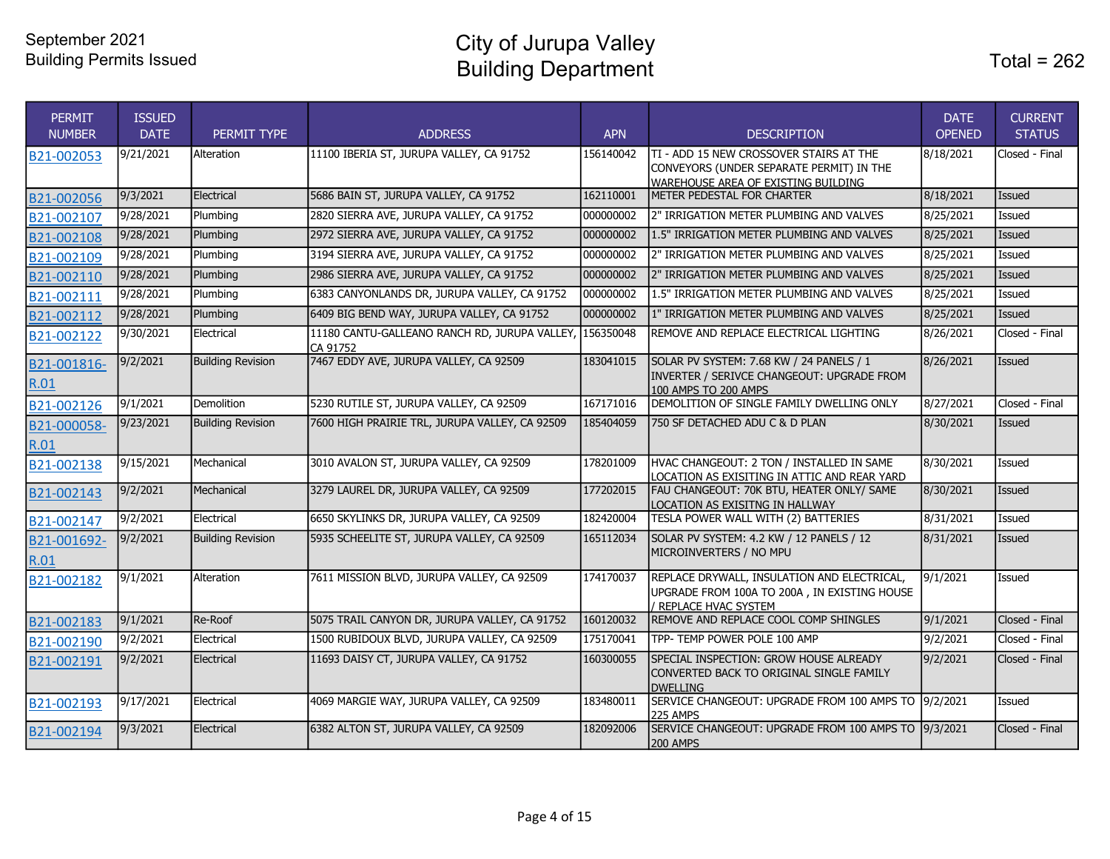City of Jurupa Valley Building Department

| <b>PERMIT</b><br><b>NUMBER</b> | <b>ISSUED</b><br><b>DATE</b> | PERMIT TYPE              | <b>ADDRESS</b>                                                      | <b>APN</b> | <b>DESCRIPTION</b>                                                                                                                 | <b>DATE</b><br><b>OPENED</b> | <b>CURRENT</b><br><b>STATUS</b> |
|--------------------------------|------------------------------|--------------------------|---------------------------------------------------------------------|------------|------------------------------------------------------------------------------------------------------------------------------------|------------------------------|---------------------------------|
| B21-002053                     | 9/21/2021                    | Alteration               | 11100 IBERIA ST, JURUPA VALLEY, CA 91752                            | 156140042  | ITI - ADD 15 NEW CROSSOVER STAIRS AT THE<br>CONVEYORS (UNDER SEPARATE PERMIT) IN THE<br><b>WAREHOUSE AREA OF EXISTING BUILDING</b> | 8/18/2021                    | Closed - Final                  |
| B21-002056                     | 9/3/2021                     | Electrical               | 5686 BAIN ST, JURUPA VALLEY, CA 91752                               | 162110001  | METER PEDESTAL FOR CHARTER                                                                                                         | 8/18/2021                    | Issued                          |
| B21-002107                     | 9/28/2021                    | Plumbing                 | 2820 SIERRA AVE, JURUPA VALLEY, CA 91752                            | 000000002  | 2" IRRIGATION METER PLUMBING AND VALVES                                                                                            | 8/25/2021                    | Issued                          |
| B21-002108                     | 9/28/2021                    | Plumbing                 | 2972 SIERRA AVE, JURUPA VALLEY, CA 91752                            | 000000002  | 1.5" IRRIGATION METER PLUMBING AND VALVES                                                                                          | 8/25/2021                    | Issued                          |
| B21-002109                     | 9/28/2021                    | Plumbing                 | 3194 SIERRA AVE, JURUPA VALLEY, CA 91752                            | 000000002  | 2" IRRIGATION METER PLUMBING AND VALVES                                                                                            | 8/25/2021                    | Issued                          |
| B21-002110                     | 9/28/2021                    | Plumbing                 | 2986 SIERRA AVE, JURUPA VALLEY, CA 91752                            | 000000002  | 2" IRRIGATION METER PLUMBING AND VALVES                                                                                            | 8/25/2021                    | Issued                          |
| B21-002111                     | 9/28/2021                    | Plumbing                 | 6383 CANYONLANDS DR, JURUPA VALLEY, CA 91752                        | 000000002  | 1.5" IRRIGATION METER PLUMBING AND VALVES                                                                                          | 8/25/2021                    | Issued                          |
| B21-002112                     | 9/28/2021                    | Plumbing                 | 6409 BIG BEND WAY, JURUPA VALLEY, CA 91752                          | 000000002  | 1" IRRIGATION METER PLUMBING AND VALVES                                                                                            | 8/25/2021                    | Issued                          |
| B21-002122                     | 9/30/2021                    | Electrical               | 11180 CANTU-GALLEANO RANCH RD, JURUPA VALLEY, 156350048<br>CA 91752 |            | REMOVE AND REPLACE ELECTRICAL LIGHTING                                                                                             | 8/26/2021                    | Closed - Final                  |
| B21-001816-<br>R.01            | 9/2/2021                     | <b>Building Revision</b> | 7467 EDDY AVE, JURUPA VALLEY, CA 92509                              | 183041015  | SOLAR PV SYSTEM: 7.68 KW / 24 PANELS / 1<br>INVERTER / SERIVCE CHANGEOUT: UPGRADE FROM<br>100 AMPS TO 200 AMPS                     | 8/26/2021                    | Issued                          |
| B21-002126                     | 9/1/2021                     | Demolition               | 5230 RUTILE ST, JURUPA VALLEY, CA 92509                             | 167171016  | DEMOLITION OF SINGLE FAMILY DWELLING ONLY                                                                                          | 8/27/2021                    | Closed - Final                  |
| B21-000058-<br>R.01            | 9/23/2021                    | <b>Building Revision</b> | 7600 HIGH PRAIRIE TRL, JURUPA VALLEY, CA 92509                      | 185404059  | 750 SF DETACHED ADU C & D PLAN                                                                                                     | 8/30/2021                    | <b>Issued</b>                   |
| B21-002138                     | 9/15/2021                    | Mechanical               | 3010 AVALON ST, JURUPA VALLEY, CA 92509                             | 178201009  | HVAC CHANGEOUT: 2 TON / INSTALLED IN SAME<br>LOCATION AS EXISITING IN ATTIC AND REAR YARD                                          | 8/30/2021                    | Issued                          |
| B21-002143                     | 9/2/2021                     | Mechanical               | 3279 LAUREL DR, JURUPA VALLEY, CA 92509                             | 177202015  | FAU CHANGEOUT: 70K BTU, HEATER ONLY/ SAME<br>LOCATION AS EXISITNG IN HALLWAY                                                       | 8/30/2021                    | Issued                          |
| B21-002147                     | 9/2/2021                     | Electrical               | 6650 SKYLINKS DR, JURUPA VALLEY, CA 92509                           | 182420004  | TESLA POWER WALL WITH (2) BATTERIES                                                                                                | 8/31/2021                    | Issued                          |
| B21-001692-<br>R.01            | 9/2/2021                     | <b>Building Revision</b> | 5935 SCHEELITE ST, JURUPA VALLEY, CA 92509                          | 165112034  | SOLAR PV SYSTEM: 4.2 KW / 12 PANELS / 12<br>MICROINVERTERS / NO MPU                                                                | 8/31/2021                    | <b>Issued</b>                   |
| B21-002182                     | 9/1/2021                     | Alteration               | 7611 MISSION BLVD, JURUPA VALLEY, CA 92509                          | 174170037  | REPLACE DRYWALL, INSULATION AND ELECTRICAL,<br>UPGRADE FROM 100A TO 200A, IN EXISTING HOUSE<br>REPLACE HVAC SYSTEM                 | 9/1/2021                     | Issued                          |
| B21-002183                     | 9/1/2021                     | Re-Roof                  | 5075 TRAIL CANYON DR, JURUPA VALLEY, CA 91752                       | 160120032  | REMOVE AND REPLACE COOL COMP SHINGLES                                                                                              | 9/1/2021                     | Closed - Final                  |
| B21-002190                     | 9/2/2021                     | Electrical               | 1500 RUBIDOUX BLVD, JURUPA VALLEY, CA 92509                         | 175170041  | TPP- TEMP POWER POLE 100 AMP                                                                                                       | 9/2/2021                     | Closed - Final                  |
| B21-002191                     | 9/2/2021                     | Electrical               | 11693 DAISY CT, JURUPA VALLEY, CA 91752                             | 160300055  | SPECIAL INSPECTION: GROW HOUSE ALREADY<br>CONVERTED BACK TO ORIGINAL SINGLE FAMILY<br><b>DWELLING</b>                              | 9/2/2021                     | Closed - Final                  |
| B21-002193                     | 9/17/2021                    | Electrical               | 4069 MARGIE WAY, JURUPA VALLEY, CA 92509                            | 183480011  | SERVICE CHANGEOUT: UPGRADE FROM 100 AMPS TO 9/2/2021<br><b>225 AMPS</b>                                                            |                              | Issued                          |
| B21-002194                     | 9/3/2021                     | Electrical               | 6382 ALTON ST, JURUPA VALLEY, CA 92509                              | 182092006  | SERVICE CHANGEOUT: UPGRADE FROM 100 AMPS TO 9/3/2021<br><b>200 AMPS</b>                                                            |                              | Closed - Final                  |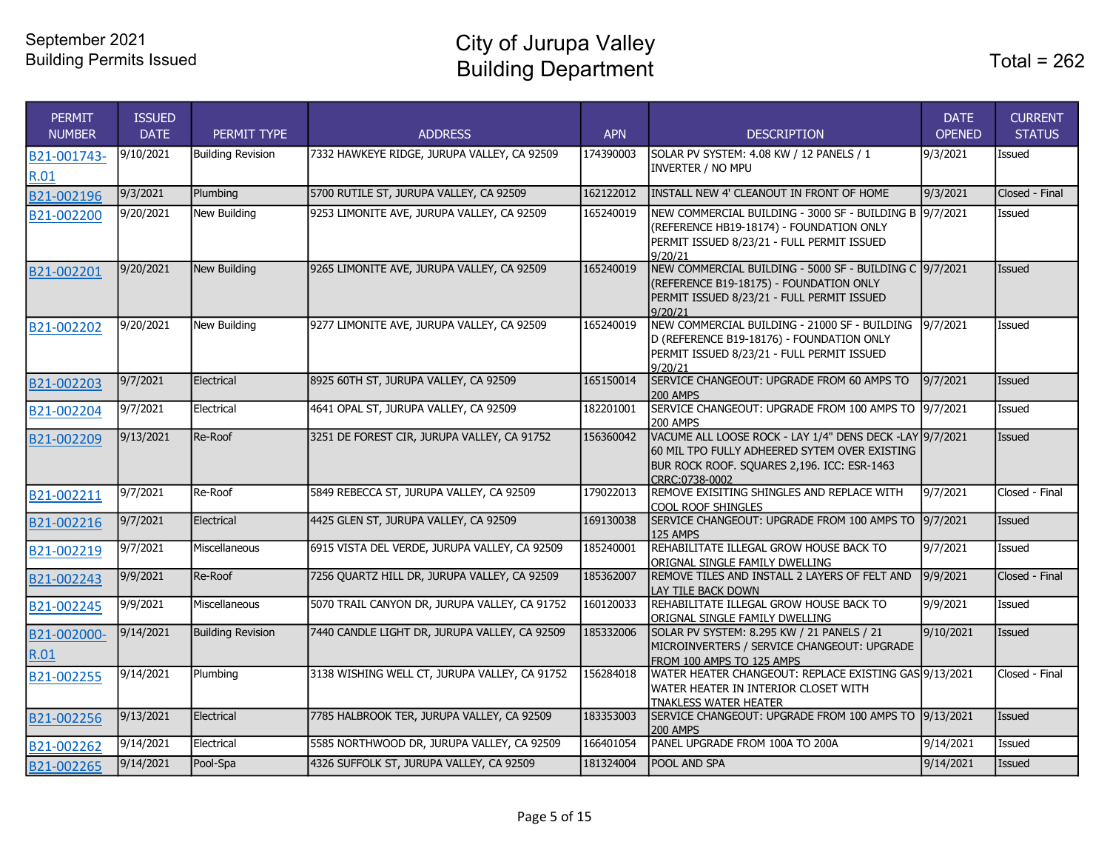City of Jurupa Valley Building Department

| <b>PERMIT</b><br><b>NUMBER</b> | <b>ISSUED</b><br><b>DATE</b> | PERMIT TYPE              | <b>ADDRESS</b>                                | <b>APN</b> | <b>DESCRIPTION</b>                                                                                                                                                         | <b>DATE</b><br><b>OPENED</b> | <b>CURRENT</b><br><b>STATUS</b> |
|--------------------------------|------------------------------|--------------------------|-----------------------------------------------|------------|----------------------------------------------------------------------------------------------------------------------------------------------------------------------------|------------------------------|---------------------------------|
| B21-001743-<br>R.01            | 9/10/2021                    | <b>Building Revision</b> | 7332 HAWKEYE RIDGE, JURUPA VALLEY, CA 92509   | 174390003  | SOLAR PV SYSTEM: 4.08 KW / 12 PANELS / 1<br><b>INVERTER / NO MPU</b>                                                                                                       | 9/3/2021                     | <b>Issued</b>                   |
| B21-002196                     | 9/3/2021                     | Plumbing                 | 5700 RUTILE ST, JURUPA VALLEY, CA 92509       | 162122012  | INSTALL NEW 4' CLEANOUT IN FRONT OF HOME                                                                                                                                   | 9/3/2021                     | Closed - Final                  |
| B21-002200                     | 9/20/2021                    | New Building             | 9253 LIMONITE AVE, JURUPA VALLEY, CA 92509    | 165240019  | NEW COMMERCIAL BUILDING - 3000 SF - BUILDING B 9/7/2021<br>(REFERENCE HB19-18174) - FOUNDATION ONLY<br>PERMIT ISSUED 8/23/21 - FULL PERMIT ISSUED<br>9/20/21               |                              | <b>Issued</b>                   |
| B21-002201                     | 9/20/2021                    | New Building             | 9265 LIMONITE AVE, JURUPA VALLEY, CA 92509    | 165240019  | NEW COMMERCIAL BUILDING - 5000 SF - BUILDING C 9/7/2021<br>(REFERENCE B19-18175) - FOUNDATION ONLY<br>PERMIT ISSUED 8/23/21 - FULL PERMIT ISSUED<br>9/20/21                |                              | Issued                          |
| B21-002202                     | 9/20/2021                    | New Building             | 9277 LIMONITE AVE, JURUPA VALLEY, CA 92509    | 165240019  | NEW COMMERCIAL BUILDING - 21000 SF - BUILDING<br>D (REFERENCE B19-18176) - FOUNDATION ONLY<br>PERMIT ISSUED 8/23/21 - FULL PERMIT ISSUED<br>9/20/21                        | 9/7/2021                     | Issued                          |
| B21-002203                     | 9/7/2021                     | Electrical               | 8925 60TH ST, JURUPA VALLEY, CA 92509         | 165150014  | SERVICE CHANGEOUT: UPGRADE FROM 60 AMPS TO<br><b>200 AMPS</b>                                                                                                              | 9/7/2021                     | Issued                          |
| B21-002204                     | 9/7/2021                     | Electrical               | 4641 OPAL ST, JURUPA VALLEY, CA 92509         | 182201001  | SERVICE CHANGEOUT: UPGRADE FROM 100 AMPS TO 9/7/2021<br><b>200 AMPS</b>                                                                                                    |                              | Issued                          |
| B21-002209                     | 9/13/2021                    | Re-Roof                  | 3251 DE FOREST CIR, JURUPA VALLEY, CA 91752   | 156360042  | VACUME ALL LOOSE ROCK - LAY 1/4" DENS DECK -LAY 9/7/2021<br>60 MIL TPO FULLY ADHEERED SYTEM OVER EXISTING<br>BUR ROCK ROOF. SQUARES 2,196. ICC: ESR-1463<br>CRRC:0738-0002 |                              | <b>Issued</b>                   |
| B21-002211                     | 9/7/2021                     | Re-Roof                  | 5849 REBECCA ST, JURUPA VALLEY, CA 92509      | 179022013  | REMOVE EXISITING SHINGLES AND REPLACE WITH<br>COOL ROOF SHINGLES                                                                                                           | 9/7/2021                     | Closed - Final                  |
| B21-002216                     | 9/7/2021                     | Electrical               | 4425 GLEN ST, JURUPA VALLEY, CA 92509         | 169130038  | SERVICE CHANGEOUT: UPGRADE FROM 100 AMPS TO<br>125 AMPS                                                                                                                    | 9/7/2021                     | Issued                          |
| B21-002219                     | 9/7/2021                     | Miscellaneous            | 6915 VISTA DEL VERDE, JURUPA VALLEY, CA 92509 | 185240001  | REHABILITATE ILLEGAL GROW HOUSE BACK TO<br>ORIGNAL SINGLE FAMILY DWELLING                                                                                                  | 9/7/2021                     | Issued                          |
| B21-002243                     | 9/9/2021                     | Re-Roof                  | 7256 QUARTZ HILL DR, JURUPA VALLEY, CA 92509  | 185362007  | REMOVE TILES AND INSTALL 2 LAYERS OF FELT AND<br>LAY TILE BACK DOWN                                                                                                        | 9/9/2021                     | Closed - Final                  |
| B21-002245                     | 9/9/2021                     | Miscellaneous            | 5070 TRAIL CANYON DR, JURUPA VALLEY, CA 91752 | 160120033  | REHABILITATE ILLEGAL GROW HOUSE BACK TO<br>ORIGNAL SINGLE FAMILY DWELLING                                                                                                  | 9/9/2021                     | Issued                          |
| B21-002000-<br>R.01            | 9/14/2021                    | <b>Building Revision</b> | 7440 CANDLE LIGHT DR, JURUPA VALLEY, CA 92509 | 185332006  | SOLAR PV SYSTEM: 8.295 KW / 21 PANELS / 21<br>MICROINVERTERS / SERVICE CHANGEOUT: UPGRADE<br>FROM 100 AMPS TO 125 AMPS                                                     | 9/10/2021                    | Issued                          |
| B21-002255                     | 9/14/2021                    | Plumbing                 | 3138 WISHING WELL CT, JURUPA VALLEY, CA 91752 | 156284018  | WATER HEATER CHANGEOUT: REPLACE EXISTING GAS 9/13/2021<br>WATER HEATER IN INTERIOR CLOSET WITH<br><b>TNAKLESS WATER HEATER</b>                                             |                              | Closed - Final                  |
| B21-002256                     | 9/13/2021                    | Electrical               | 7785 HALBROOK TER, JURUPA VALLEY, CA 92509    | 183353003  | SERVICE CHANGEOUT: UPGRADE FROM 100 AMPS TO 9/13/2021<br><b>200 AMPS</b>                                                                                                   |                              | Issued                          |
| B21-002262                     | 9/14/2021                    | Electrical               | 5585 NORTHWOOD DR, JURUPA VALLEY, CA 92509    | 166401054  | PANEL UPGRADE FROM 100A TO 200A                                                                                                                                            | 9/14/2021                    | Issued                          |
| B21-002265                     | 9/14/2021                    | Pool-Spa                 | 4326 SUFFOLK ST, JURUPA VALLEY, CA 92509      | 181324004  | POOL AND SPA                                                                                                                                                               | 9/14/2021                    | Issued                          |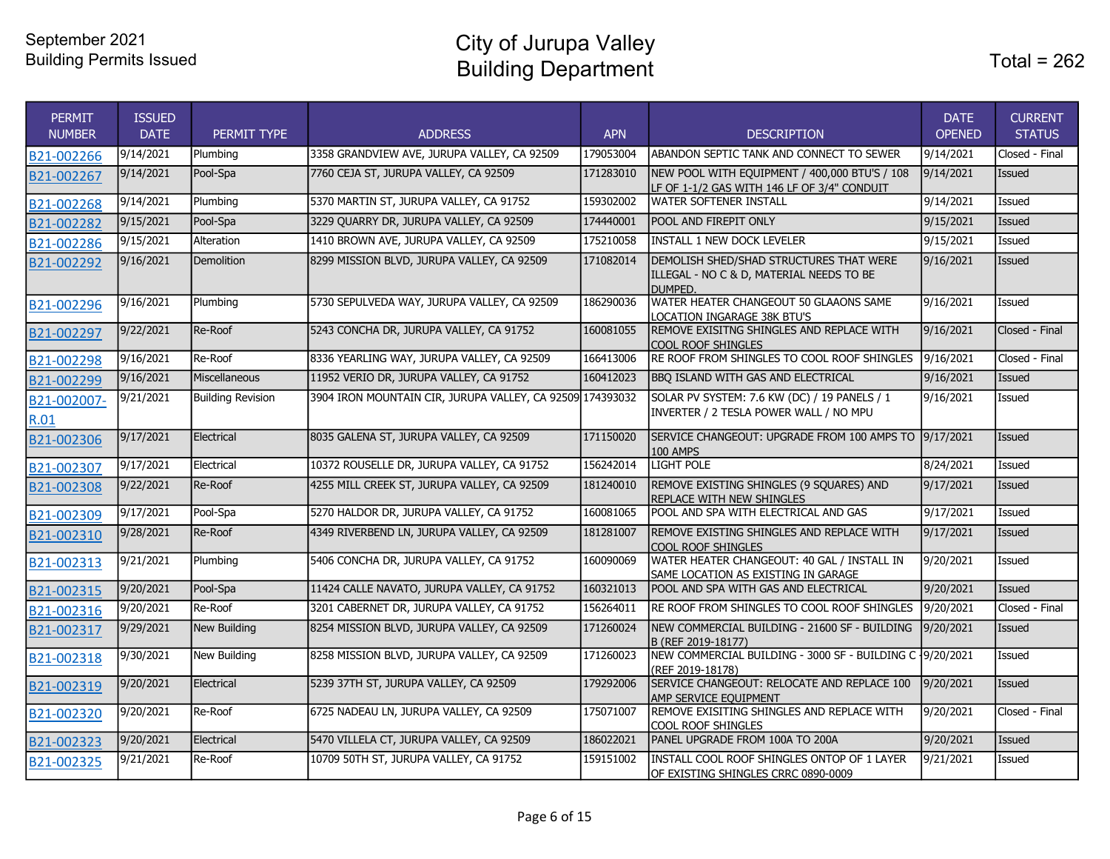City of Jurupa Valley Building Department

| <b>PERMIT</b><br><b>NUMBER</b> | <b>ISSUED</b><br><b>DATE</b> | PERMIT TYPE              | <b>ADDRESS</b>                                            | <b>APN</b> | <b>DESCRIPTION</b>                                                                                    | <b>DATE</b><br><b>OPENED</b> | <b>CURRENT</b><br><b>STATUS</b> |
|--------------------------------|------------------------------|--------------------------|-----------------------------------------------------------|------------|-------------------------------------------------------------------------------------------------------|------------------------------|---------------------------------|
| B21-002266                     | 9/14/2021                    | Plumbing                 | 3358 GRANDVIEW AVE, JURUPA VALLEY, CA 92509               | 179053004  | ABANDON SEPTIC TANK AND CONNECT TO SEWER                                                              | 9/14/2021                    | Closed - Final                  |
| B21-002267                     | 9/14/2021                    | Pool-Spa                 | 7760 CEJA ST, JURUPA VALLEY, CA 92509                     | 171283010  | NEW POOL WITH EQUIPMENT / 400,000 BTU'S / 108<br>LF OF 1-1/2 GAS WITH 146 LF OF 3/4" CONDUIT          | 9/14/2021                    | Issued                          |
| B21-002268                     | 9/14/2021                    | Plumbing                 | 5370 MARTIN ST, JURUPA VALLEY, CA 91752                   | 159302002  | <b>WATER SOFTENER INSTALL</b>                                                                         | 9/14/2021                    | Issued                          |
| B21-002282                     | 9/15/2021                    | Pool-Spa                 | 3229 QUARRY DR, JURUPA VALLEY, CA 92509                   | 174440001  | <b>POOL AND FIREPIT ONLY</b>                                                                          | 9/15/2021                    | <b>Issued</b>                   |
| B21-002286                     | 9/15/2021                    | Alteration               | 1410 BROWN AVE, JURUPA VALLEY, CA 92509                   | 175210058  | <b>INSTALL 1 NEW DOCK LEVELER</b>                                                                     | 9/15/2021                    | <b>Issued</b>                   |
| B21-002292                     | 9/16/2021                    | <b>Demolition</b>        | 8299 MISSION BLVD, JURUPA VALLEY, CA 92509                | 171082014  | <b>DEMOLISH SHED/SHAD STRUCTURES THAT WERE</b><br>ILLEGAL - NO C & D, MATERIAL NEEDS TO BE<br>DUMPED. | 9/16/2021                    | Issued                          |
| B21-002296                     | 9/16/2021                    | Plumbing                 | 5730 SEPULVEDA WAY, JURUPA VALLEY, CA 92509               | 186290036  | WATER HEATER CHANGEOUT 50 GLAAONS SAME<br>LOCATION INGARAGE 38K BTU'S                                 | 9/16/2021                    | Issued                          |
| B21-002297                     | 9/22/2021                    | Re-Roof                  | 5243 CONCHA DR, JURUPA VALLEY, CA 91752                   | 160081055  | REMOVE EXISITNG SHINGLES AND REPLACE WITH<br>COOL ROOF SHINGLES                                       | 9/16/2021                    | Closed - Final                  |
| B21-002298                     | 9/16/2021                    | Re-Roof                  | 8336 YEARLING WAY, JURUPA VALLEY, CA 92509                | 166413006  | RE ROOF FROM SHINGLES TO COOL ROOF SHINGLES                                                           | 9/16/2021                    | Closed - Final                  |
| B21-002299                     | 9/16/2021                    | <b>Miscellaneous</b>     | 11952 VERIO DR, JURUPA VALLEY, CA 91752                   | 160412023  | <b>BBQ ISLAND WITH GAS AND ELECTRICAL</b>                                                             | 9/16/2021                    | Issued                          |
| B21-002007-<br>R.01            | 9/21/2021                    | <b>Building Revision</b> | 3904 IRON MOUNTAIN CIR, JURUPA VALLEY, CA 92509 174393032 |            | SOLAR PV SYSTEM: 7.6 KW (DC) / 19 PANELS / 1<br>INVERTER / 2 TESLA POWER WALL / NO MPU                | 9/16/2021                    | Issued                          |
| B21-002306                     | 9/17/2021                    | Electrical               | 8035 GALENA ST, JURUPA VALLEY, CA 92509                   | 171150020  | SERVICE CHANGEOUT: UPGRADE FROM 100 AMPS TO 9/17/2021<br>100 AMPS                                     |                              | Issued                          |
| B21-002307                     | 9/17/2021                    | Electrical               | 10372 ROUSELLE DR, JURUPA VALLEY, CA 91752                | 156242014  | <b>LIGHT POLE</b>                                                                                     | 8/24/2021                    | Issued                          |
| B21-002308                     | 9/22/2021                    | Re-Roof                  | 4255 MILL CREEK ST, JURUPA VALLEY, CA 92509               | 181240010  | REMOVE EXISTING SHINGLES (9 SQUARES) AND<br><b>REPLACE WITH NEW SHINGLES</b>                          | 9/17/2021                    | Issued                          |
| B21-002309                     | 9/17/2021                    | Pool-Spa                 | 5270 HALDOR DR, JURUPA VALLEY, CA 91752                   | 160081065  | POOL AND SPA WITH ELECTRICAL AND GAS                                                                  | 9/17/2021                    | Issued                          |
| B21-002310                     | 9/28/2021                    | Re-Roof                  | 4349 RIVERBEND LN, JURUPA VALLEY, CA 92509                | 181281007  | REMOVE EXISTING SHINGLES AND REPLACE WITH<br>COOL ROOF SHINGLES                                       | 9/17/2021                    | Issued                          |
| B21-002313                     | 9/21/2021                    | Plumbing                 | 5406 CONCHA DR, JURUPA VALLEY, CA 91752                   | 160090069  | WATER HEATER CHANGEOUT: 40 GAL / INSTALL IN<br>SAME LOCATION AS EXISTING IN GARAGE                    | 9/20/2021                    | Issued                          |
| B21-002315                     | 9/20/2021                    | Pool-Spa                 | 11424 CALLE NAVATO, JURUPA VALLEY, CA 91752               | 160321013  | POOL AND SPA WITH GAS AND ELECTRICAL                                                                  | 9/20/2021                    | <b>Issued</b>                   |
| B21-002316                     | 9/20/2021                    | Re-Roof                  | 3201 CABERNET DR, JURUPA VALLEY, CA 91752                 | 156264011  | RE ROOF FROM SHINGLES TO COOL ROOF SHINGLES                                                           | 9/20/2021                    | Closed - Final                  |
| B21-002317                     | 9/29/2021                    | New Building             | 8254 MISSION BLVD, JURUPA VALLEY, CA 92509                | 171260024  | NEW COMMERCIAL BUILDING - 21600 SF - BUILDING<br>B (REF 2019-18177)                                   | 9/20/2021                    | <b>Issued</b>                   |
| B21-002318                     | 9/30/2021                    | <b>New Building</b>      | 8258 MISSION BLVD, JURUPA VALLEY, CA 92509                | 171260023  | NEW COMMERCIAL BUILDING - 3000 SF - BUILDING C -9/20/2021<br>(REF 2019-18178)                         |                              | Issued                          |
| B21-002319                     | 9/20/2021                    | Electrical               | 5239 37TH ST, JURUPA VALLEY, CA 92509                     | 179292006  | SERVICE CHANGEOUT: RELOCATE AND REPLACE 100<br>AMP SERVICE EQUIPMENT                                  | 9/20/2021                    | Issued                          |
| B21-002320                     | 9/20/2021                    | Re-Roof                  | 6725 NADEAU LN, JURUPA VALLEY, CA 92509                   | 175071007  | REMOVE EXISITING SHINGLES AND REPLACE WITH<br>COOL ROOF SHINGLES                                      | 9/20/2021                    | Closed - Final                  |
| B21-002323                     | 9/20/2021                    | Electrical               | 5470 VILLELA CT, JURUPA VALLEY, CA 92509                  | 186022021  | PANEL UPGRADE FROM 100A TO 200A                                                                       | 9/20/2021                    | Issued                          |
| B21-002325                     | 9/21/2021                    | Re-Roof                  | 10709 50TH ST, JURUPA VALLEY, CA 91752                    | 159151002  | INSTALL COOL ROOF SHINGLES ONTOP OF 1 LAYER<br>OF EXISTING SHINGLES CRRC 0890-0009                    | 9/21/2021                    | Issued                          |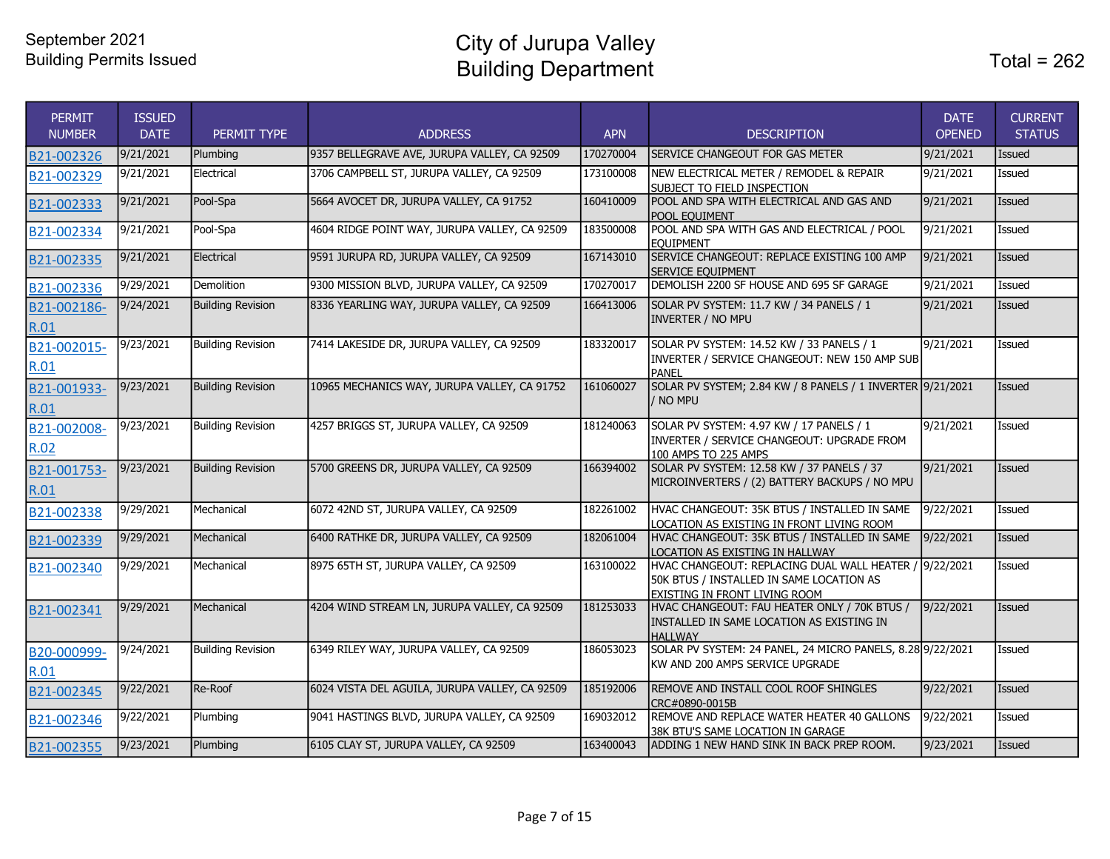City of Jurupa Valley Building Department Total = 262

| <b>PERMIT</b><br><b>NUMBER</b> | <b>ISSUED</b><br><b>DATE</b> | PERMIT TYPE              | <b>ADDRESS</b>                                 | <b>APN</b> | <b>DESCRIPTION</b>                                                                                                                         | <b>DATE</b><br><b>OPENED</b> | <b>CURRENT</b><br><b>STATUS</b> |
|--------------------------------|------------------------------|--------------------------|------------------------------------------------|------------|--------------------------------------------------------------------------------------------------------------------------------------------|------------------------------|---------------------------------|
| B21-002326                     | 9/21/2021                    | Plumbing                 | 9357 BELLEGRAVE AVE, JURUPA VALLEY, CA 92509   | 170270004  | SERVICE CHANGEOUT FOR GAS METER                                                                                                            | 9/21/2021                    | <b>Issued</b>                   |
| B21-002329                     | 9/21/2021                    | Electrical               | 3706 CAMPBELL ST, JURUPA VALLEY, CA 92509      | 173100008  | NEW ELECTRICAL METER / REMODEL & REPAIR<br>SUBJECT TO FIELD INSPECTION                                                                     | 9/21/2021                    | Issued                          |
| B21-002333                     | 9/21/2021                    | Pool-Spa                 | 5664 AVOCET DR, JURUPA VALLEY, CA 91752        | 160410009  | POOL AND SPA WITH ELECTRICAL AND GAS AND<br>POOL EQUIMENT                                                                                  | 9/21/2021                    | Issued                          |
| B21-002334                     | 9/21/2021                    | Pool-Spa                 | 4604 RIDGE POINT WAY, JURUPA VALLEY, CA 92509  | 183500008  | POOL AND SPA WITH GAS AND ELECTRICAL / POOL<br><b>EQUIPMENT</b>                                                                            | 9/21/2021                    | Issued                          |
| B21-002335                     | 9/21/2021                    | Electrical               | 9591 JURUPA RD, JURUPA VALLEY, CA 92509        | 167143010  | SERVICE CHANGEOUT: REPLACE EXISTING 100 AMP<br><b>SERVICE EOUIPMENT</b>                                                                    | 9/21/2021                    | Issued                          |
| B21-002336                     | 9/29/2021                    | Demolition               | 9300 MISSION BLVD, JURUPA VALLEY, CA 92509     | 170270017  | DEMOLISH 2200 SF HOUSE AND 695 SF GARAGE                                                                                                   | 9/21/2021                    | Issued                          |
| B21-002186-<br>R.01            | 9/24/2021                    | <b>Building Revision</b> | 8336 YEARLING WAY, JURUPA VALLEY, CA 92509     | 166413006  | SOLAR PV SYSTEM: 11.7 KW / 34 PANELS / 1<br><b>INVERTER / NO MPU</b>                                                                       | 9/21/2021                    | Issued                          |
| B21-002015-<br>R.01            | 9/23/2021                    | <b>Building Revision</b> | 7414 LAKESIDE DR, JURUPA VALLEY, CA 92509      | 183320017  | SOLAR PV SYSTEM: 14.52 KW / 33 PANELS / 1<br>INVERTER / SERVICE CHANGEOUT: NEW 150 AMP SUB<br>PANEL                                        | $\sqrt{9/21/20}$ 21          | Issued                          |
| B21-001933-<br>R.01            | 9/23/2021                    | <b>Building Revision</b> | 10965 MECHANICS WAY, JURUPA VALLEY, CA 91752   | 161060027  | SOLAR PV SYSTEM; 2.84 KW / 8 PANELS / 1 INVERTER 9/21/2021<br>/ NO MPU                                                                     |                              | Issued                          |
| B21-002008-<br>R.02            | 9/23/2021                    | <b>Building Revision</b> | 4257 BRIGGS ST, JURUPA VALLEY, CA 92509        | 181240063  | SOLAR PV SYSTEM: 4.97 KW / 17 PANELS / 1<br>INVERTER / SERVICE CHANGEOUT: UPGRADE FROM<br>100 AMPS TO 225 AMPS                             | 9/21/2021                    | Issued                          |
| B21-001753-<br>R.01            | 9/23/2021                    | <b>Building Revision</b> | 5700 GREENS DR, JURUPA VALLEY, CA 92509        | 166394002  | SOLAR PV SYSTEM: 12.58 KW / 37 PANELS / 37<br>MICROINVERTERS / (2) BATTERY BACKUPS / NO MPU                                                | 9/21/2021                    | Issued                          |
| B21-002338                     | 9/29/2021                    | Mechanical               | 6072 42ND ST, JURUPA VALLEY, CA 92509          | 182261002  | HVAC CHANGEOUT: 35K BTUS / INSTALLED IN SAME<br>LOCATION AS EXISTING IN FRONT LIVING ROOM                                                  | 9/22/2021                    | Issued                          |
| B21-002339                     | 9/29/2021                    | Mechanical               | 6400 RATHKE DR, JURUPA VALLEY, CA 92509        | 182061004  | HVAC CHANGEOUT: 35K BTUS / INSTALLED IN SAME<br>LOCATION AS EXISTING IN HALLWAY                                                            | 9/22/2021                    | Issued                          |
| B21-002340                     | 9/29/2021                    | Mechanical               | 8975 65TH ST, JURUPA VALLEY, CA 92509          | 163100022  | HVAC CHANGEOUT: REPLACING DUAL WALL HEATER / 9/22/2021<br>50K BTUS / INSTALLED IN SAME LOCATION AS<br><b>EXISTING IN FRONT LIVING ROOM</b> |                              | Issued                          |
| B21-002341                     | 9/29/2021                    | Mechanical               | 4204 WIND STREAM LN, JURUPA VALLEY, CA 92509   | 181253033  | HVAC CHANGEOUT: FAU HEATER ONLY / 70K BTUS /<br>INSTALLED IN SAME LOCATION AS EXISTING IN<br><b>HALLWAY</b>                                | 9/22/2021                    | Issued                          |
| B20-000999-<br>R.01            | 9/24/2021                    | Building Revision        | 6349 RILEY WAY, JURUPA VALLEY, CA 92509        | 186053023  | SOLAR PV SYSTEM: 24 PANEL, 24 MICRO PANELS, 8.28 9/22/2021<br>KW AND 200 AMPS SERVICE UPGRADE                                              |                              | Issued                          |
| B21-002345                     | 9/22/2021                    | Re-Roof                  | 6024 VISTA DEL AGUILA, JURUPA VALLEY, CA 92509 | 185192006  | REMOVE AND INSTALL COOL ROOF SHINGLES<br>CRC#0890-0015B                                                                                    | 9/22/2021                    | Issued                          |
| B21-002346                     | 9/22/2021                    | Plumbing                 | 9041 HASTINGS BLVD, JURUPA VALLEY, CA 92509    | 169032012  | REMOVE AND REPLACE WATER HEATER 40 GALLONS<br>38K BTU'S SAME LOCATION IN GARAGE                                                            | 9/22/2021                    | <b>Issued</b>                   |
| B21-002355                     | 9/23/2021                    | Plumbing                 | 6105 CLAY ST, JURUPA VALLEY, CA 92509          | 163400043  | ADDING 1 NEW HAND SINK IN BACK PREP ROOM.                                                                                                  | 9/23/2021                    | Issued                          |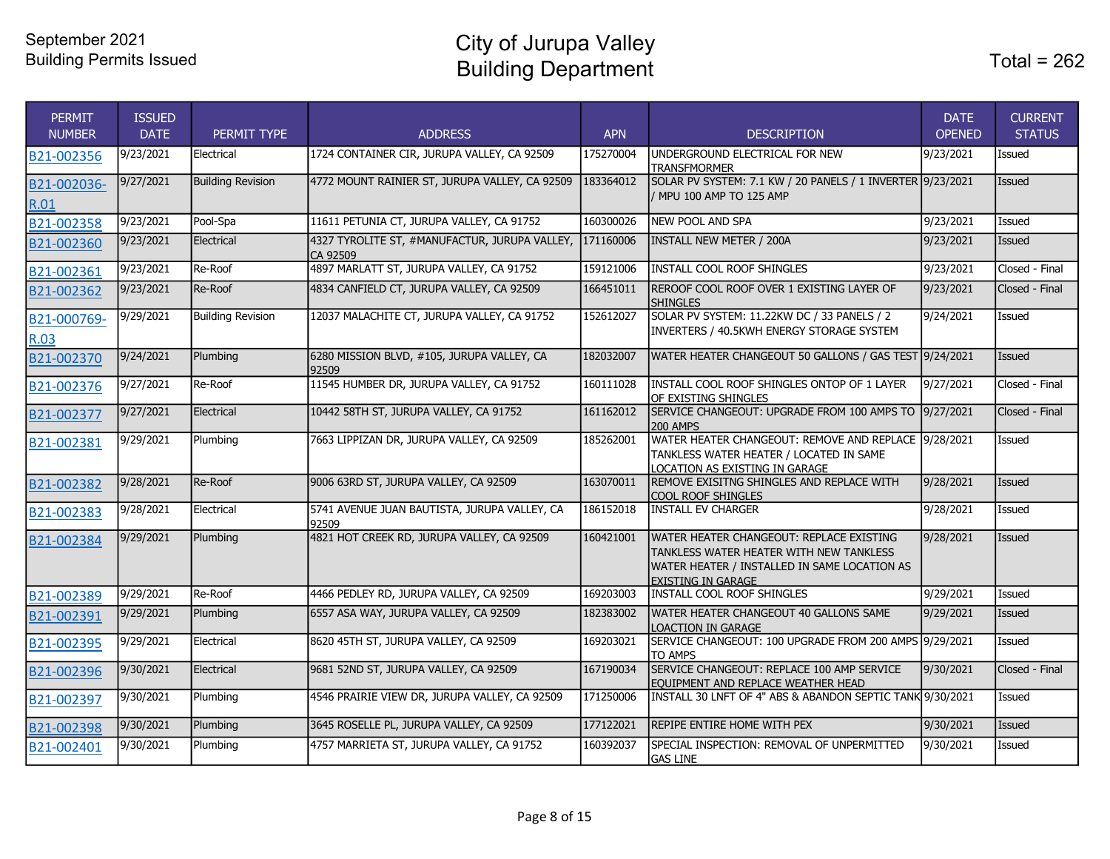| <b>PERMIT</b><br><b>NUMBER</b> | <b>ISSUED</b><br><b>DATE</b> | PERMIT TYPE              | <b>ADDRESS</b>                                                             | <b>APN</b> | <b>DESCRIPTION</b>                                                                                                                                               | <b>DATE</b><br><b>OPENED</b> | <b>CURRENT</b><br><b>STATUS</b> |
|--------------------------------|------------------------------|--------------------------|----------------------------------------------------------------------------|------------|------------------------------------------------------------------------------------------------------------------------------------------------------------------|------------------------------|---------------------------------|
| B21-002356                     | 9/23/2021                    | Electrical               | 1724 CONTAINER CIR, JURUPA VALLEY, CA 92509                                | 175270004  | UNDERGROUND ELECTRICAL FOR NEW<br><b>TRANSFMORMER</b>                                                                                                            | 9/23/2021                    | Issued                          |
| B21-002036-<br>R.01            | 9/27/2021                    | <b>Building Revision</b> | 4772 MOUNT RAINIER ST, JURUPA VALLEY, CA 92509                             | 183364012  | SOLAR PV SYSTEM: 7.1 KW / 20 PANELS / 1 INVERTER 9/23/2021<br>/ MPU 100 AMP TO 125 AMP                                                                           |                              | Issued                          |
| B21-002358                     | 9/23/2021                    | Pool-Spa                 | 11611 PETUNIA CT, JURUPA VALLEY, CA 91752                                  | 160300026  | <b>NEW POOL AND SPA</b>                                                                                                                                          | 9/23/2021                    | Issued                          |
| B21-002360                     | 9/23/2021                    | Electrical               | 4327 TYROLITE ST, #MANUFACTUR, JURUPA VALLEY, 171160006<br><b>CA 92509</b> |            | <b>INSTALL NEW METER / 200A</b>                                                                                                                                  | 9/23/2021                    | Issued                          |
| B21-002361                     | 9/23/2021                    | Re-Roof                  | 4897 MARLATT ST, JURUPA VALLEY, CA 91752                                   | 159121006  | INSTALL COOL ROOF SHINGLES                                                                                                                                       | 9/23/2021                    | Closed - Final                  |
| B21-002362                     | 9/23/2021                    | Re-Roof                  | 4834 CANFIELD CT, JURUPA VALLEY, CA 92509                                  | 166451011  | REROOF COOL ROOF OVER 1 EXISTING LAYER OF<br><b>SHINGLES</b>                                                                                                     | 9/23/2021                    | Closed - Final                  |
| B21-000769-<br><b>R.03</b>     | 9/29/2021                    | <b>Building Revision</b> | 12037 MALACHITE CT, JURUPA VALLEY, CA 91752                                | 152612027  | SOLAR PV SYSTEM: 11.22KW DC / 33 PANELS / 2<br>INVERTERS / 40.5KWH ENERGY STORAGE SYSTEM                                                                         | 9/24/2021                    | <b>Issued</b>                   |
| B21-002370                     | 9/24/2021                    | Plumbing                 | 6280 MISSION BLVD, #105, JURUPA VALLEY, CA<br>92509                        | 182032007  | WATER HEATER CHANGEOUT 50 GALLONS / GAS TEST 9/24/2021                                                                                                           |                              | Issued                          |
| B21-002376                     | 9/27/2021                    | Re-Roof                  | 11545 HUMBER DR, JURUPA VALLEY, CA 91752                                   | 160111028  | INSTALL COOL ROOF SHINGLES ONTOP OF 1 LAYER<br>OF EXISTING SHINGLES                                                                                              | 9/27/2021                    | Closed - Final                  |
| B21-002377                     | 9/27/2021                    | Electrical               | 10442 58TH ST, JURUPA VALLEY, CA 91752                                     | 161162012  | SERVICE CHANGEOUT: UPGRADE FROM 100 AMPS TO 9/27/2021<br><b>200 AMPS</b>                                                                                         |                              | Closed - Final                  |
| B21-002381                     | 9/29/2021                    | Plumbing                 | 7663 LIPPIZAN DR, JURUPA VALLEY, CA 92509                                  | 185262001  | WATER HEATER CHANGEOUT: REMOVE AND REPLACE 9/28/2021<br>TANKLESS WATER HEATER / LOCATED IN SAME<br>LOCATION AS EXISTING IN GARAGE                                |                              | Issued                          |
| B21-002382                     | 9/28/2021                    | Re-Roof                  | 9006 63RD ST, JURUPA VALLEY, CA 92509                                      | 163070011  | REMOVE EXISITNG SHINGLES AND REPLACE WITH<br>COOL ROOF SHINGLES                                                                                                  | 9/28/2021                    | Issued                          |
| B21-002383                     | 9/28/2021                    | Electrical               | 5741 AVENUE JUAN BAUTISTA, JURUPA VALLEY, CA<br>92509                      | 186152018  | <b>INSTALL EV CHARGER</b>                                                                                                                                        | 9/28/2021                    | <b>Issued</b>                   |
| B21-002384                     | 9/29/2021                    | Plumbing                 | 4821 HOT CREEK RD, JURUPA VALLEY, CA 92509                                 | 160421001  | WATER HEATER CHANGEOUT: REPLACE EXISTING<br>TANKLESS WATER HEATER WITH NEW TANKLESS<br>WATER HEATER / INSTALLED IN SAME LOCATION AS<br><b>EXISTING IN GARAGE</b> | 9/28/2021                    | <b>Issued</b>                   |
| B21-002389                     | 9/29/2021                    | Re-Roof                  | 4466 PEDLEY RD, JURUPA VALLEY, CA 92509                                    | 169203003  | <b>INSTALL COOL ROOF SHINGLES</b>                                                                                                                                | 9/29/2021                    | Issued                          |
| B21-002391                     | 9/29/2021                    | Plumbing                 | 6557 ASA WAY, JURUPA VALLEY, CA 92509                                      | 182383002  | WATER HEATER CHANGEOUT 40 GALLONS SAME<br><b>LOACTION IN GARAGE</b>                                                                                              | 9/29/2021                    | Issued                          |
| B21-002395                     | 9/29/2021                    | Electrical               | 8620 45TH ST, JURUPA VALLEY, CA 92509                                      | 169203021  | SERVICE CHANGEOUT: 100 UPGRADE FROM 200 AMPS 9/29/2021<br>TO AMPS                                                                                                |                              | Issued                          |
| B21-002396                     | 9/30/2021                    | Electrical               | 9681 52ND ST, JURUPA VALLEY, CA 92509                                      | 167190034  | SERVICE CHANGEOUT: REPLACE 100 AMP SERVICE<br>EOUIPMENT AND REPLACE WEATHER HEAD                                                                                 | 9/30/2021                    | Closed - Final                  |
| B21-002397                     | 9/30/2021                    | Plumbing                 | 4546 PRAIRIE VIEW DR, JURUPA VALLEY, CA 92509                              | 171250006  | INSTALL 30 LNFT OF 4" ABS & ABANDON SEPTIC TANK 9/30/2021                                                                                                        |                              | Issued                          |
| B21-002398                     | 9/30/2021                    | Plumbing                 | 3645 ROSELLE PL, JURUPA VALLEY, CA 92509                                   | 177122021  | REPIPE ENTIRE HOME WITH PEX                                                                                                                                      | 9/30/2021                    | Issued                          |
| B21-002401                     | 9/30/2021                    | Plumbing                 | 4757 MARRIETA ST, JURUPA VALLEY, CA 91752                                  | 160392037  | SPECIAL INSPECTION: REMOVAL OF UNPERMITTED<br><b>GAS LINE</b>                                                                                                    | 9/30/2021                    | Issued                          |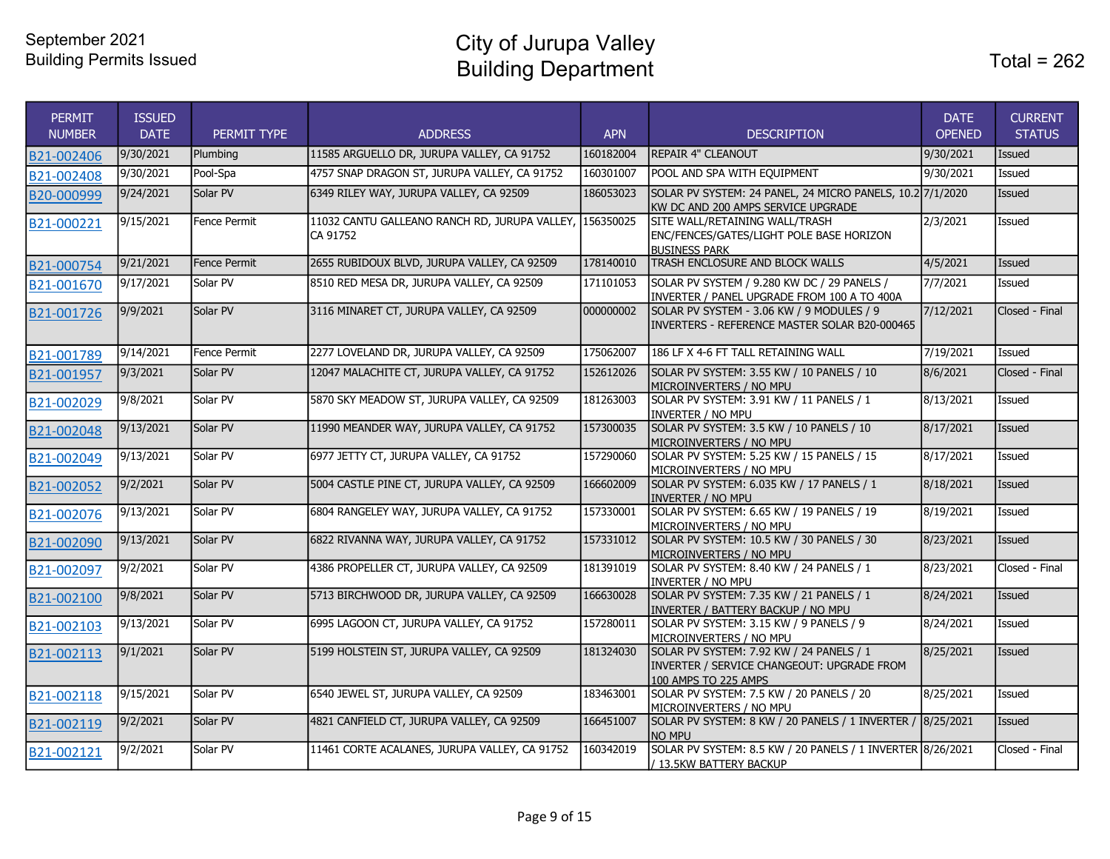City of Jurupa Valley Building Department

| <b>PERMIT</b><br><b>NUMBER</b> | <b>ISSUED</b><br><b>DATE</b> | PERMIT TYPE  | <b>ADDRESS</b>                                                      | <b>APN</b> | <b>DESCRIPTION</b>                                                                                             | <b>DATE</b><br><b>OPENED</b> | <b>CURRENT</b><br><b>STATUS</b> |
|--------------------------------|------------------------------|--------------|---------------------------------------------------------------------|------------|----------------------------------------------------------------------------------------------------------------|------------------------------|---------------------------------|
| B21-002406                     | 9/30/2021                    | Plumbing     | 11585 ARGUELLO DR, JURUPA VALLEY, CA 91752                          | 160182004  | <b>REPAIR 4" CLEANOUT</b>                                                                                      | 9/30/2021                    | <b>Issued</b>                   |
| B21-002408                     | 9/30/2021                    | Pool-Spa     | 4757 SNAP DRAGON ST, JURUPA VALLEY, CA 91752                        | 160301007  | POOL AND SPA WITH EQUIPMENT                                                                                    | 9/30/2021                    | Issued                          |
| B20-000999                     | 9/24/2021                    | Solar PV     | 6349 RILEY WAY, JURUPA VALLEY, CA 92509                             | 186053023  | SOLAR PV SYSTEM: 24 PANEL, 24 MICRO PANELS, 10.2 7/1/2020<br>KW DC AND 200 AMPS SERVICE UPGRADE                |                              | Issued                          |
| B21-000221                     | 9/15/2021                    | Fence Permit | 11032 CANTU GALLEANO RANCH RD, JURUPA VALLEY, 156350025<br>CA 91752 |            | SITE WALL/RETAINING WALL/TRASH<br>ENC/FENCES/GATES/LIGHT POLE BASE HORIZON<br><b>BUSINESS PARK</b>             | 2/3/2021                     | <b>Issued</b>                   |
| B21-000754                     | 9/21/2021                    | Fence Permit | 2655 RUBIDOUX BLVD, JURUPA VALLEY, CA 92509                         | 178140010  | TRASH ENCLOSURE AND BLOCK WALLS                                                                                | 4/5/2021                     | Issued                          |
| B21-001670                     | 9/17/2021                    | Solar PV     | 8510 RED MESA DR, JURUPA VALLEY, CA 92509                           | 171101053  | SOLAR PV SYSTEM / 9.280 KW DC / 29 PANELS /<br>INVERTER / PANEL UPGRADE FROM 100 A TO 400A                     | 7/7/2021                     | Issued                          |
| B21-001726                     | 9/9/2021                     | Solar PV     | 3116 MINARET CT, JURUPA VALLEY, CA 92509                            | 000000002  | SOLAR PV SYSTEM - 3.06 KW / 9 MODULES / 9<br>INVERTERS - REFERENCE MASTER SOLAR B20-000465                     | 7/12/2021                    | Closed - Final                  |
| B21-001789                     | 9/14/2021                    | Fence Permit | 2277 LOVELAND DR, JURUPA VALLEY, CA 92509                           | 175062007  | 186 LF X 4-6 FT TALL RETAINING WALL                                                                            | 7/19/2021                    | Issued                          |
| B21-001957                     | 9/3/2021                     | Solar PV     | 12047 MALACHITE CT, JURUPA VALLEY, CA 91752                         | 152612026  | SOLAR PV SYSTEM: 3.55 KW / 10 PANELS / 10<br>MICROINVERTERS / NO MPU                                           | 8/6/2021                     | Closed - Final                  |
| B21-002029                     | 9/8/2021                     | Solar PV     | 5870 SKY MEADOW ST, JURUPA VALLEY, CA 92509                         | 181263003  | SOLAR PV SYSTEM: 3.91 KW / 11 PANELS / 1<br>INVERTER / NO MPU                                                  | 8/13/2021                    | <b>Issued</b>                   |
| B21-002048                     | 9/13/2021                    | Solar PV     | 11990 MEANDER WAY, JURUPA VALLEY, CA 91752                          | 157300035  | SOLAR PV SYSTEM: 3.5 KW / 10 PANELS / 10<br>MICROINVERTERS / NO MPU                                            | 8/17/2021                    | <b>Issued</b>                   |
| B21-002049                     | 9/13/2021                    | Solar PV     | 6977 JETTY CT, JURUPA VALLEY, CA 91752                              | 157290060  | SOLAR PV SYSTEM: 5.25 KW / 15 PANELS / 15<br>MICROINVERTERS / NO MPU                                           | 8/17/2021                    | Issued                          |
| B21-002052                     | 9/2/2021                     | Solar PV     | 5004 CASTLE PINE CT, JURUPA VALLEY, CA 92509                        | 166602009  | SOLAR PV SYSTEM: 6.035 KW / 17 PANELS / 1<br><b>INVERTER / NO MPU</b>                                          | 8/18/2021                    | Issued                          |
| B21-002076                     | 9/13/2021                    | Solar PV     | 6804 RANGELEY WAY, JURUPA VALLEY, CA 91752                          | 157330001  | SOLAR PV SYSTEM: 6.65 KW / 19 PANELS / 19<br>MICROINVERTERS / NO MPU                                           | 8/19/2021                    | Issued                          |
| B21-002090                     | 9/13/2021                    | Solar PV     | 6822 RIVANNA WAY, JURUPA VALLEY, CA 91752                           | 157331012  | SOLAR PV SYSTEM: 10.5 KW / 30 PANELS / 30<br>MICROINVERTERS / NO MPU                                           | 8/23/2021                    | <b>Issued</b>                   |
| B21-002097                     | 9/2/2021                     | Solar PV     | 4386 PROPELLER CT, JURUPA VALLEY, CA 92509                          | 181391019  | SOLAR PV SYSTEM: 8.40 KW / 24 PANELS / 1<br>INVERTER / NO MPU                                                  | 8/23/2021                    | Closed - Final                  |
| B21-002100                     | 9/8/2021                     | Solar PV     | 5713 BIRCHWOOD DR, JURUPA VALLEY, CA 92509                          | 166630028  | SOLAR PV SYSTEM: 7.35 KW / 21 PANELS / 1<br>INVERTER / BATTERY BACKUP / NO MPU                                 | 8/24/2021                    | <b>Issued</b>                   |
| B21-002103                     | 9/13/2021                    | Solar PV     | 6995 LAGOON CT, JURUPA VALLEY, CA 91752                             | 157280011  | SOLAR PV SYSTEM: 3.15 KW / 9 PANELS / 9<br>MICROINVERTERS / NO MPU                                             | 8/24/2021                    | Issued                          |
| B21-002113                     | 9/1/2021                     | Solar PV     | 5199 HOLSTEIN ST, JURUPA VALLEY, CA 92509                           | 181324030  | SOLAR PV SYSTEM: 7.92 KW / 24 PANELS / 1<br>INVERTER / SERVICE CHANGEOUT: UPGRADE FROM<br>100 AMPS TO 225 AMPS | 8/25/2021                    | <b>Issued</b>                   |
| B21-002118                     | 9/15/2021                    | Solar PV     | 6540 JEWEL ST, JURUPA VALLEY, CA 92509                              | 183463001  | SOLAR PV SYSTEM: 7.5 KW / 20 PANELS / 20<br>MICROINVERTERS / NO MPU                                            | 8/25/2021                    | Issued                          |
| B21-002119                     | 9/2/2021                     | Solar PV     | 4821 CANFIELD CT, JURUPA VALLEY, CA 92509                           | 166451007  | SOLAR PV SYSTEM: 8 KW / 20 PANELS / 1 INVERTER / 8/25/2021<br>NO MPU                                           |                              | <b>Issued</b>                   |
| B21-002121                     | 9/2/2021                     | Solar PV     | 11461 CORTE ACALANES, JURUPA VALLEY, CA 91752                       | 160342019  | SOLAR PV SYSTEM: 8.5 KW / 20 PANELS / 1 INVERTER 8/26/2021<br>/ 13.5KW BATTERY BACKUP                          |                              | Closed - Final                  |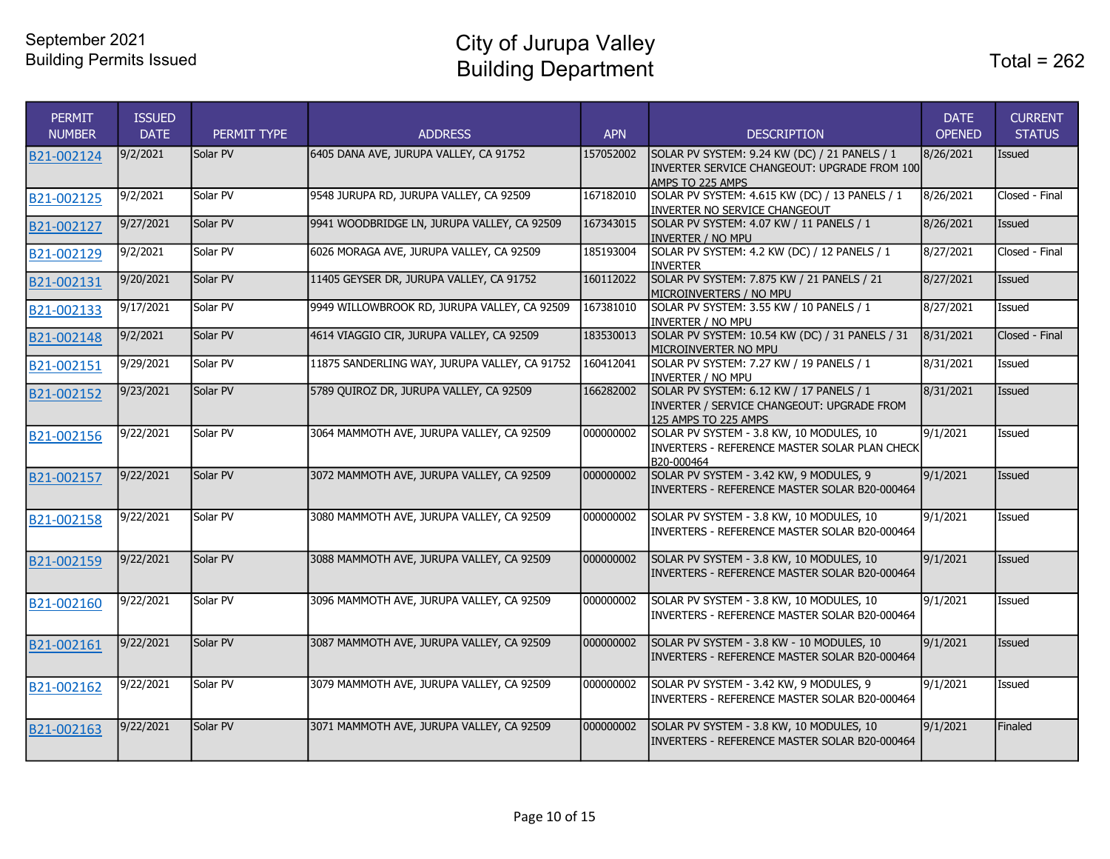City of Jurupa Valley Building Department

| <b>PERMIT</b><br><b>NUMBER</b> | <b>ISSUED</b><br><b>DATE</b> | PERMIT TYPE | <b>ADDRESS</b>                                | <b>APN</b> | <b>DESCRIPTION</b>                                                                                                        | <b>DATE</b><br><b>OPENED</b> | <b>CURRENT</b><br><b>STATUS</b> |
|--------------------------------|------------------------------|-------------|-----------------------------------------------|------------|---------------------------------------------------------------------------------------------------------------------------|------------------------------|---------------------------------|
| B21-002124                     | 9/2/2021                     | Solar PV    | 6405 DANA AVE, JURUPA VALLEY, CA 91752        | 157052002  | SOLAR PV SYSTEM: 9.24 KW (DC) / 21 PANELS / 1<br>INVERTER SERVICE CHANGEOUT: UPGRADE FROM 100<br><b>IAMPS TO 225 AMPS</b> | 8/26/2021                    | Issued                          |
| B21-002125                     | 9/2/2021                     | Solar PV    | 9548 JURUPA RD, JURUPA VALLEY, CA 92509       | 167182010  | SOLAR PV SYSTEM: 4.615 KW (DC) / 13 PANELS / 1<br><b>INVERTER NO SERVICE CHANGEOUT</b>                                    | 8/26/2021                    | Closed - Final                  |
| B21-002127                     | 9/27/2021                    | Solar PV    | 9941 WOODBRIDGE LN, JURUPA VALLEY, CA 92509   | 167343015  | SOLAR PV SYSTEM: 4.07 KW / 11 PANELS / 1<br>IINVERTER / NO MPU                                                            | 8/26/2021                    | Issued                          |
| B21-002129                     | 9/2/2021                     | Solar PV    | 6026 MORAGA AVE, JURUPA VALLEY, CA 92509      | 185193004  | SOLAR PV SYSTEM: 4.2 KW (DC) / 12 PANELS / 1<br><b>INVERTER</b>                                                           | 8/27/2021                    | Closed - Final                  |
| B21-002131                     | 9/20/2021                    | Solar PV    | 11405 GEYSER DR, JURUPA VALLEY, CA 91752      | 160112022  | SOLAR PV SYSTEM: 7.875 KW / 21 PANELS / 21<br>MICROINVERTERS / NO MPU                                                     | 8/27/2021                    | Issued                          |
| B21-002133                     | 9/17/2021                    | Solar PV    | 9949 WILLOWBROOK RD, JURUPA VALLEY, CA 92509  | 167381010  | SOLAR PV SYSTEM: 3.55 KW / 10 PANELS / 1<br><b>INVERTER / NO MPU</b>                                                      | 8/27/2021                    | Issued                          |
| B21-002148                     | 9/2/2021                     | Solar PV    | 4614 VIAGGIO CIR, JURUPA VALLEY, CA 92509     | 183530013  | SOLAR PV SYSTEM: 10.54 KW (DC) / 31 PANELS / 31<br>Imicroinverter no mpu                                                  | 8/31/2021                    | Closed - Final                  |
| B21-002151                     | 9/29/2021                    | Solar PV    | 11875 SANDERLING WAY, JURUPA VALLEY, CA 91752 | 160412041  | SOLAR PV SYSTEM: 7.27 KW / 19 PANELS / 1<br>INVERTER / NO MPU                                                             | 8/31/2021                    | Issued                          |
| B21-002152                     | 9/23/2021                    | Solar PV    | 5789 QUIROZ DR, JURUPA VALLEY, CA 92509       | 166282002  | SOLAR PV SYSTEM: 6.12 KW / 17 PANELS / 1<br>INVERTER / SERVICE CHANGEOUT: UPGRADE FROM<br>125 AMPS TO 225 AMPS            | 8/31/2021                    | Issued                          |
| B21-002156                     | 9/22/2021                    | Solar PV    | 3064 MAMMOTH AVE, JURUPA VALLEY, CA 92509     | 000000002  | SOLAR PV SYSTEM - 3.8 KW, 10 MODULES, 10<br>INVERTERS - REFERENCE MASTER SOLAR PLAN CHECK<br>B20-000464                   | 9/1/2021                     | Issued                          |
| B21-002157                     | 9/22/2021                    | Solar PV    | 3072 MAMMOTH AVE, JURUPA VALLEY, CA 92509     | 000000002  | SOLAR PV SYSTEM - 3.42 KW, 9 MODULES, 9<br>INVERTERS - REFERENCE MASTER SOLAR B20-000464                                  | 9/1/2021                     | Issued                          |
| B21-002158                     | 9/22/2021                    | Solar PV    | 3080 MAMMOTH AVE, JURUPA VALLEY, CA 92509     | 000000002  | SOLAR PV SYSTEM - 3.8 KW, 10 MODULES, 10<br>INVERTERS - REFERENCE MASTER SOLAR B20-000464                                 | 9/1/2021                     | <b>Issued</b>                   |
| B21-002159                     | 9/22/2021                    | Solar PV    | 3088 MAMMOTH AVE, JURUPA VALLEY, CA 92509     | 000000002  | SOLAR PV SYSTEM - 3.8 KW, 10 MODULES, 10<br>INVERTERS - REFERENCE MASTER SOLAR B20-000464                                 | 9/1/2021                     | Issued                          |
| B21-002160                     | 9/22/2021                    | Solar PV    | 3096 MAMMOTH AVE, JURUPA VALLEY, CA 92509     | 000000002  | SOLAR PV SYSTEM - 3.8 KW, 10 MODULES, 10<br>INVERTERS - REFERENCE MASTER SOLAR B20-000464                                 | 9/1/2021                     | Issued                          |
| B21-002161                     | 9/22/2021                    | Solar PV    | 3087 MAMMOTH AVE, JURUPA VALLEY, CA 92509     | 000000002  | SOLAR PV SYSTEM - 3.8 KW - 10 MODULES, 10<br>INVERTERS - REFERENCE MASTER SOLAR B20-000464                                | 9/1/2021                     | Issued                          |
| B21-002162                     | 9/22/2021                    | Solar PV    | 3079 MAMMOTH AVE, JURUPA VALLEY, CA 92509     | 000000002  | SOLAR PV SYSTEM - 3.42 KW, 9 MODULES, 9<br>INVERTERS - REFERENCE MASTER SOLAR B20-000464                                  | 9/1/2021                     | Issued                          |
| B21-002163                     | 9/22/2021                    | Solar PV    | 3071 MAMMOTH AVE, JURUPA VALLEY, CA 92509     | 000000002  | SOLAR PV SYSTEM - 3.8 KW, 10 MODULES, 10<br>IINVERTERS - REFERENCE MASTER SOLAR B20-000464                                | 9/1/2021                     | Finaled                         |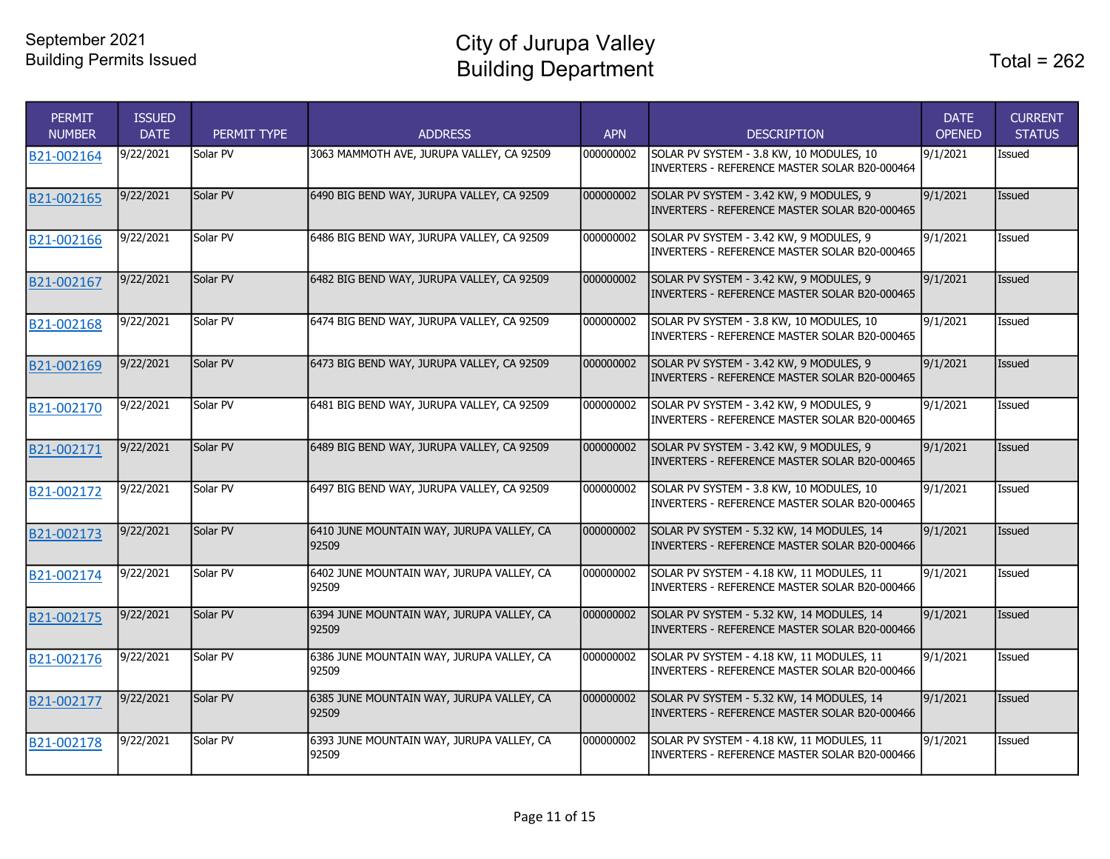| <b>PERMIT</b><br><b>NUMBER</b> | <b>ISSUED</b><br><b>DATE</b> | PERMIT TYPE | <b>ADDRESS</b>                                     | <b>APN</b> | <b>DESCRIPTION</b>                                                                          | <b>DATE</b><br><b>OPENED</b> | <b>CURRENT</b><br><b>STATUS</b> |
|--------------------------------|------------------------------|-------------|----------------------------------------------------|------------|---------------------------------------------------------------------------------------------|------------------------------|---------------------------------|
| B21-002164                     | 9/22/2021                    | Solar PV    | 3063 MAMMOTH AVE, JURUPA VALLEY, CA 92509          | 000000002  | SOLAR PV SYSTEM - 3.8 KW, 10 MODULES, 10<br>INVERTERS - REFERENCE MASTER SOLAR B20-000464   | 9/1/2021                     | Issued                          |
| B21-002165                     | 9/22/2021                    | Solar PV    | 6490 BIG BEND WAY, JURUPA VALLEY, CA 92509         | 000000002  | SOLAR PV SYSTEM - 3.42 KW, 9 MODULES, 9<br>INVERTERS - REFERENCE MASTER SOLAR B20-000465    | 9/1/2021                     | Issued                          |
| B21-002166                     | 9/22/2021                    | Solar PV    | 6486 BIG BEND WAY, JURUPA VALLEY, CA 92509         | 000000002  | SOLAR PV SYSTEM - 3.42 KW, 9 MODULES, 9<br>INVERTERS - REFERENCE MASTER SOLAR B20-000465    | 9/1/2021                     | Issued                          |
| B21-002167                     | 9/22/2021                    | Solar PV    | 6482 BIG BEND WAY, JURUPA VALLEY, CA 92509         | 000000002  | SOLAR PV SYSTEM - 3.42 KW, 9 MODULES, 9<br>INVERTERS - REFERENCE MASTER SOLAR B20-000465    | 9/1/2021                     | Issued                          |
| B21-002168                     | 9/22/2021                    | Solar PV    | 6474 BIG BEND WAY, JURUPA VALLEY, CA 92509         | 000000002  | SOLAR PV SYSTEM - 3.8 KW, 10 MODULES, 10<br>INVERTERS - REFERENCE MASTER SOLAR B20-000465   | 9/1/2021                     | Issued                          |
| B21-002169                     | 9/22/2021                    | Solar PV    | 6473 BIG BEND WAY, JURUPA VALLEY, CA 92509         | 000000002  | SOLAR PV SYSTEM - 3.42 KW, 9 MODULES, 9<br>INVERTERS - REFERENCE MASTER SOLAR B20-000465    | 9/1/2021                     | Issued                          |
| B21-002170                     | 9/22/2021                    | Solar PV    | 6481 BIG BEND WAY, JURUPA VALLEY, CA 92509         | 000000002  | SOLAR PV SYSTEM - 3.42 KW, 9 MODULES, 9<br>INVERTERS - REFERENCE MASTER SOLAR B20-000465    | 9/1/2021                     | Issued                          |
| B21-002171                     | 9/22/2021                    | Solar PV    | 6489 BIG BEND WAY, JURUPA VALLEY, CA 92509         | 000000002  | SOLAR PV SYSTEM - 3.42 KW, 9 MODULES, 9<br>INVERTERS - REFERENCE MASTER SOLAR B20-000465    | 9/1/2021                     | Issued                          |
| B21-002172                     | 9/22/2021                    | Solar PV    | 6497 BIG BEND WAY, JURUPA VALLEY, CA 92509         | 000000002  | SOLAR PV SYSTEM - 3.8 KW, 10 MODULES, 10<br>INVERTERS - REFERENCE MASTER SOLAR B20-000465   | 9/1/2021                     | Issued                          |
| B21-002173                     | 9/22/2021                    | Solar PV    | 6410 JUNE MOUNTAIN WAY, JURUPA VALLEY, CA<br>92509 | 000000002  | SOLAR PV SYSTEM - 5.32 KW, 14 MODULES, 14<br>INVERTERS - REFERENCE MASTER SOLAR B20-000466  | 9/1/2021                     | Issued                          |
| B21-002174                     | 9/22/2021                    | Solar PV    | 6402 JUNE MOUNTAIN WAY, JURUPA VALLEY, CA<br>92509 | 000000002  | SOLAR PV SYSTEM - 4.18 KW, 11 MODULES, 11<br>INVERTERS - REFERENCE MASTER SOLAR B20-000466  | 9/1/2021                     | Issued                          |
| B21-002175                     | 9/22/2021                    | Solar PV    | 6394 JUNE MOUNTAIN WAY, JURUPA VALLEY, CA<br>92509 | 000000002  | SOLAR PV SYSTEM - 5.32 KW, 14 MODULES, 14<br>IINVERTERS - REFERENCE MASTER SOLAR B20-000466 | 9/1/2021                     | Issued                          |
| B21-002176                     | 9/22/2021                    | Solar PV    | 6386 JUNE MOUNTAIN WAY, JURUPA VALLEY, CA<br>92509 | 000000002  | SOLAR PV SYSTEM - 4.18 KW, 11 MODULES, 11<br>IINVERTERS - REFERENCE MASTER SOLAR B20-000466 | 9/1/2021                     | Issued                          |
| B21-002177                     | 9/22/2021                    | Solar PV    | 6385 JUNE MOUNTAIN WAY, JURUPA VALLEY, CA<br>92509 | 000000002  | SOLAR PV SYSTEM - 5.32 KW, 14 MODULES, 14<br>INVERTERS - REFERENCE MASTER SOLAR B20-000466  | 9/1/2021                     | Issued                          |
| B21-002178                     | 9/22/2021                    | Solar PV    | 6393 JUNE MOUNTAIN WAY, JURUPA VALLEY, CA<br>92509 | 000000002  | Solar PV System - 4.18 KW, 11 Modules, 11<br>INVERTERS - REFERENCE MASTER SOLAR B20-000466  | 9/1/2021                     | Issued                          |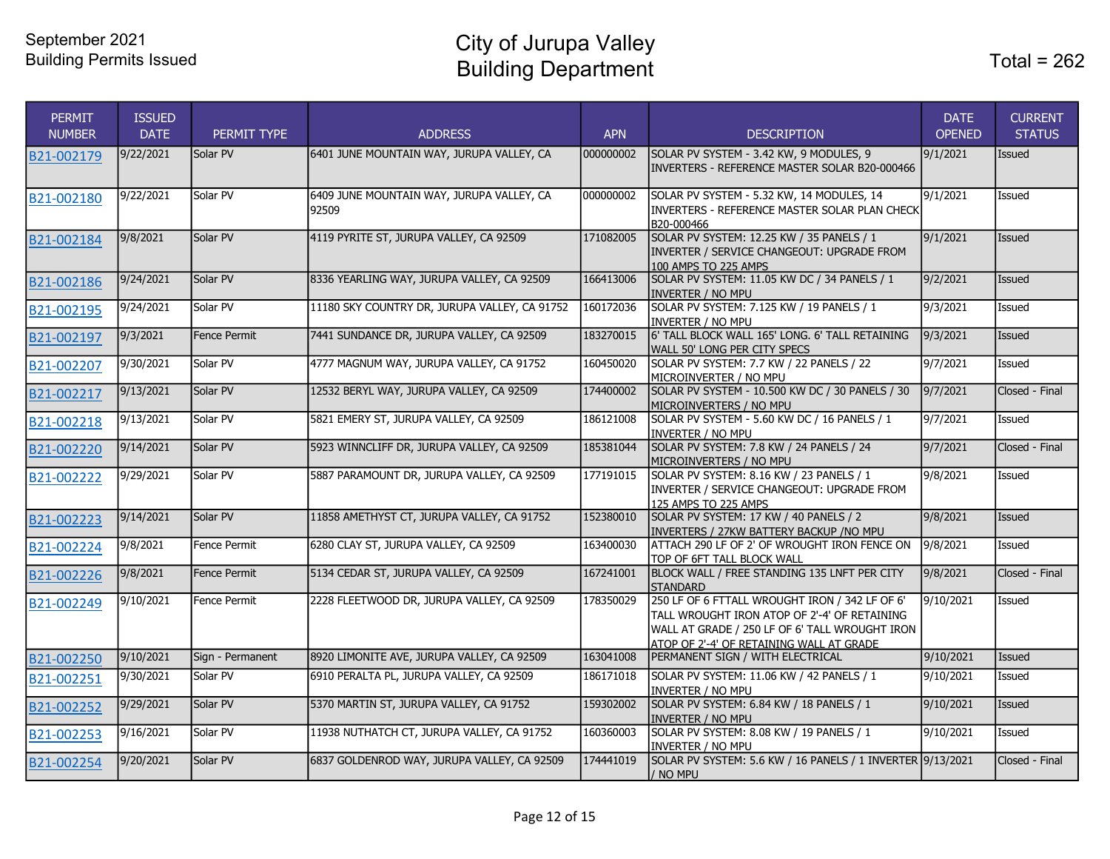| PERMIT<br><b>NUMBER</b> | <b>ISSUED</b><br><b>DATE</b> | PERMIT TYPE         | <b>ADDRESS</b>                                     | <b>APN</b> | <b>DESCRIPTION</b>                                                                                                                                                                           | <b>DATE</b><br><b>OPENED</b> | <b>CURRENT</b><br><b>STATUS</b> |
|-------------------------|------------------------------|---------------------|----------------------------------------------------|------------|----------------------------------------------------------------------------------------------------------------------------------------------------------------------------------------------|------------------------------|---------------------------------|
| B21-002179              | 9/22/2021                    | Solar PV            | 6401 JUNE MOUNTAIN WAY, JURUPA VALLEY, CA          | 000000002  | SOLAR PV SYSTEM - 3.42 KW, 9 MODULES, 9<br>INVERTERS - REFERENCE MASTER SOLAR B20-000466                                                                                                     | 9/1/2021                     | Issued                          |
| B21-002180              | 9/22/2021                    | Solar PV            | 6409 JUNE MOUNTAIN WAY, JURUPA VALLEY, CA<br>92509 | 000000002  | SOLAR PV SYSTEM - 5.32 KW, 14 MODULES, 14<br>INVERTERS - REFERENCE MASTER SOLAR PLAN CHECK<br>B20-000466                                                                                     | 9/1/2021                     | Issued                          |
| B21-002184              | 9/8/2021                     | Solar PV            | 4119 PYRITE ST, JURUPA VALLEY, CA 92509            | 171082005  | SOLAR PV SYSTEM: 12.25 KW / 35 PANELS / 1<br>INVERTER / SERVICE CHANGEOUT: UPGRADE FROM<br>100 AMPS TO 225 AMPS                                                                              | 9/1/2021                     | Issued                          |
| B21-002186              | 9/24/2021                    | Solar PV            | 8336 YEARLING WAY, JURUPA VALLEY, CA 92509         | 166413006  | SOLAR PV SYSTEM: 11.05 KW DC / 34 PANELS / 1<br><b>INVERTER / NO MPU</b>                                                                                                                     | 9/2/2021                     | Issued                          |
| B21-002195              | 9/24/2021                    | Solar PV            | 11180 SKY COUNTRY DR, JURUPA VALLEY, CA 91752      | 160172036  | SOLAR PV SYSTEM: 7.125 KW / 19 PANELS / 1<br><b>INVERTER / NO MPU</b>                                                                                                                        | 9/3/2021                     | Issued                          |
| B21-002197              | 9/3/2021                     | Fence Permit        | 7441 SUNDANCE DR, JURUPA VALLEY, CA 92509          | 183270015  | 6' TALL BLOCK WALL 165' LONG. 6' TALL RETAINING<br>WALL 50' LONG PER CITY SPECS                                                                                                              | 9/3/2021                     | Issued                          |
| B21-002207              | 9/30/2021                    | Solar PV            | 4777 MAGNUM WAY, JURUPA VALLEY, CA 91752           | 160450020  | SOLAR PV SYSTEM: 7.7 KW / 22 PANELS / 22<br>MICROINVERTER / NO MPU                                                                                                                           | 9/7/2021                     | Issued                          |
| B21-002217              | 9/13/2021                    | Solar PV            | 12532 BERYL WAY, JURUPA VALLEY, CA 92509           | 174400002  | SOLAR PV SYSTEM - 10.500 KW DC / 30 PANELS / 30<br>MICROINVERTERS / NO MPU                                                                                                                   | 9/7/2021                     | Closed - Final                  |
| B21-002218              | 9/13/2021                    | Solar PV            | 5821 EMERY ST, JURUPA VALLEY, CA 92509             | 186121008  | SOLAR PV SYSTEM - 5.60 KW DC / 16 PANELS / 1<br><b>INVERTER / NO MPU</b>                                                                                                                     | 9/7/2021                     | <b>Issued</b>                   |
| B21-002220              | 9/14/2021                    | Solar PV            | 5923 WINNCLIFF DR, JURUPA VALLEY, CA 92509         | 185381044  | SOLAR PV SYSTEM: 7.8 KW / 24 PANELS / 24<br>MICROINVERTERS / NO MPU                                                                                                                          | 9/7/2021                     | Closed - Final                  |
| B21-002222              | 9/29/2021                    | Solar PV            | 5887 PARAMOUNT DR, JURUPA VALLEY, CA 92509         | 177191015  | SOLAR PV SYSTEM: 8.16 KW / 23 PANELS / 1<br>INVERTER / SERVICE CHANGEOUT: UPGRADE FROM<br>125 AMPS TO 225 AMPS                                                                               | 9/8/2021                     | Issued                          |
| B21-002223              | 9/14/2021                    | Solar PV            | 11858 AMETHYST CT, JURUPA VALLEY, CA 91752         | 152380010  | SOLAR PV SYSTEM: 17 KW / 40 PANELS / 2<br>INVERTERS / 27KW BATTERY BACKUP / NO MPU                                                                                                           | 9/8/2021                     | Issued                          |
| B21-002224              | 9/8/2021                     | Fence Permit        | 6280 CLAY ST, JURUPA VALLEY, CA 92509              | 163400030  | ATTACH 290 LF OF 2' OF WROUGHT IRON FENCE ON<br>TOP OF 6FT TALL BLOCK WALL                                                                                                                   | 9/8/2021                     | Issued                          |
| B21-002226              | 9/8/2021                     | <b>Fence Permit</b> | 5134 CEDAR ST, JURUPA VALLEY, CA 92509             | 167241001  | BLOCK WALL / FREE STANDING 135 LNFT PER CITY<br><b>STANDARD</b>                                                                                                                              | 9/8/2021                     | Closed - Final                  |
| B21-002249              | 9/10/2021                    | Fence Permit        | 2228 FLEETWOOD DR, JURUPA VALLEY, CA 92509         | 178350029  | 250 LF OF 6 FTTALL WROUGHT IRON / 342 LF OF 6'<br>TALL WROUGHT IRON ATOP OF 2'-4' OF RETAINING<br>WALL AT GRADE / 250 LF OF 6' TALL WROUGHT IRON<br>ATOP OF 2'-4' OF RETAINING WALL AT GRADE | 9/10/2021                    | Issued                          |
| B21-002250              | 9/10/2021                    | Sign - Permanent    | 8920 LIMONITE AVE, JURUPA VALLEY, CA 92509         | 163041008  | PERMANENT SIGN / WITH ELECTRICAL                                                                                                                                                             | 9/10/2021                    | Issued                          |
| B21-002251              | 9/30/2021                    | Solar PV            | 6910 PERALTA PL, JURUPA VALLEY, CA 92509           | 186171018  | SOLAR PV SYSTEM: 11.06 KW / 42 PANELS / 1<br>INVERTER / NO MPU                                                                                                                               | 9/10/2021                    | Issued                          |
| B21-002252              | 9/29/2021                    | Solar PV            | 5370 MARTIN ST, JURUPA VALLEY, CA 91752            | 159302002  | SOLAR PV SYSTEM: 6.84 KW / 18 PANELS / 1<br><b>INVERTER / NO MPU</b>                                                                                                                         | 9/10/2021                    | Issued                          |
| B21-002253              | 9/16/2021                    | Solar PV            | 11938 NUTHATCH CT, JURUPA VALLEY, CA 91752         | 160360003  | SOLAR PV SYSTEM: 8.08 KW / 19 PANELS / 1<br>INVERTER / NO MPU                                                                                                                                | 9/10/2021                    | Issued                          |
| B21-002254              | 9/20/2021                    | Solar PV            | 6837 GOLDENROD WAY, JURUPA VALLEY, CA 92509        | 174441019  | SOLAR PV SYSTEM: 5.6 KW / 16 PANELS / 1 INVERTER 9/13/2021<br>/ NO MPU                                                                                                                       |                              | Closed - Final                  |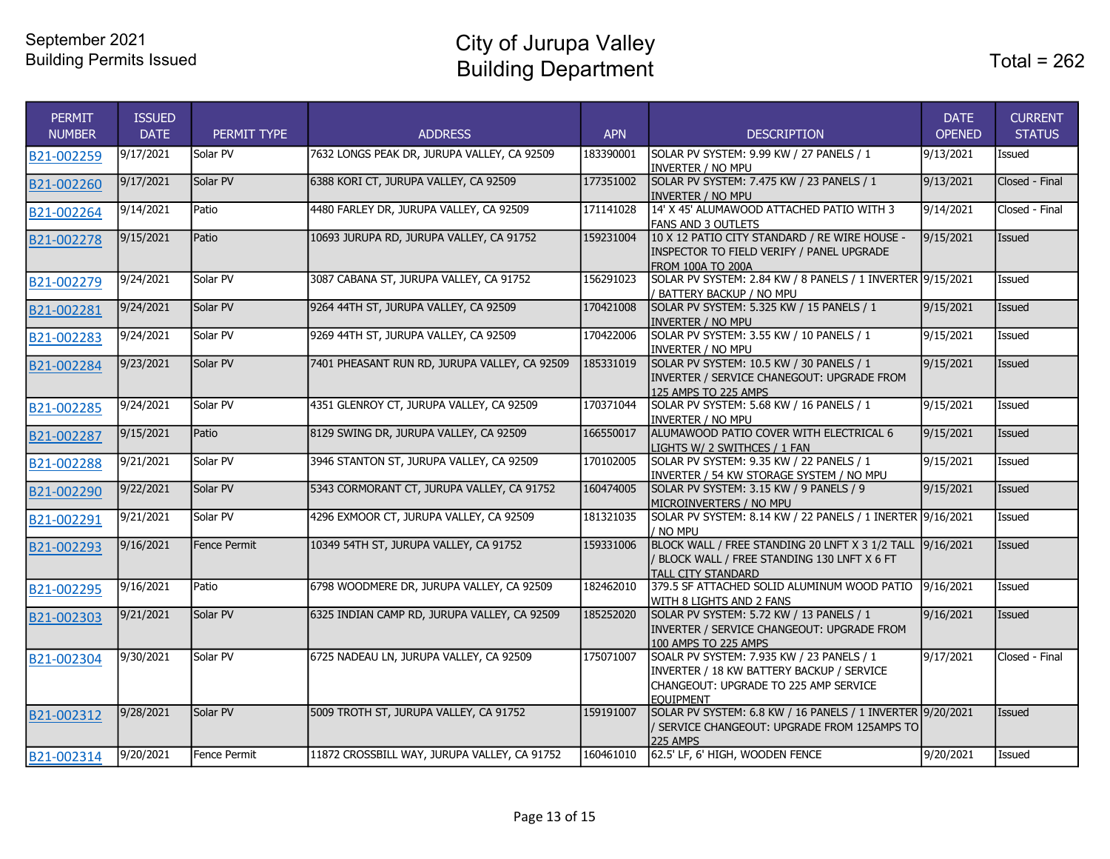City of Jurupa Valley Building Department

| <b>PERMIT</b><br><b>NUMBER</b> | <b>ISSUED</b><br><b>DATE</b> | PERMIT TYPE  | <b>ADDRESS</b>                                | <b>APN</b> | <b>DESCRIPTION</b>                                                                                                                                  | <b>DATE</b><br><b>OPENED</b> | <b>CURRENT</b><br><b>STATUS</b> |
|--------------------------------|------------------------------|--------------|-----------------------------------------------|------------|-----------------------------------------------------------------------------------------------------------------------------------------------------|------------------------------|---------------------------------|
| B21-002259                     | 9/17/2021                    | Solar PV     | 7632 LONGS PEAK DR, JURUPA VALLEY, CA 92509   | 183390001  | SOLAR PV SYSTEM: 9.99 KW / 27 PANELS / 1<br>INVERTER / NO MPU                                                                                       | 9/13/2021                    | Issued                          |
| B21-002260                     | 9/17/2021                    | Solar PV     | 6388 KORI CT, JURUPA VALLEY, CA 92509         | 177351002  | SOLAR PV SYSTEM: 7.475 KW / 23 PANELS / 1<br><b>INVERTER / NO MPU</b>                                                                               | 9/13/2021                    | Closed - Final                  |
| B21-002264                     | 9/14/2021                    | Patio        | 4480 FARLEY DR, JURUPA VALLEY, CA 92509       | 171141028  | 14' X 45' ALUMAWOOD ATTACHED PATIO WITH 3<br><b>FANS AND 3 OUTLETS</b>                                                                              | 9/14/2021                    | Closed - Final                  |
| B21-002278                     | 9/15/2021                    | Patio        | 10693 JURUPA RD, JURUPA VALLEY, CA 91752      | 159231004  | 10 X 12 PATIO CITY STANDARD / RE WIRE HOUSE -<br>INSPECTOR TO FIELD VERIFY / PANEL UPGRADE<br><b>FROM 100A TO 200A</b>                              | 9/15/2021                    | <b>Issued</b>                   |
| B21-002279                     | 9/24/2021                    | Solar PV     | 3087 CABANA ST, JURUPA VALLEY, CA 91752       | 156291023  | SOLAR PV SYSTEM: 2.84 KW / 8 PANELS / 1 INVERTER 9/15/2021<br>/ BATTERY BACKUP / NO MPU                                                             |                              | <b>Issued</b>                   |
| B21-002281                     | 9/24/2021                    | Solar PV     | 9264 44TH ST, JURUPA VALLEY, CA 92509         | 170421008  | SOLAR PV SYSTEM: 5.325 KW / 15 PANELS / 1<br><b>INVERTER / NO MPU</b>                                                                               | 9/15/2021                    | Issued                          |
| B21-002283                     | 9/24/2021                    | Solar PV     | 9269 44TH ST, JURUPA VALLEY, CA 92509         | 170422006  | SOLAR PV SYSTEM: 3.55 KW / 10 PANELS / 1<br>INVERTER / NO MPU                                                                                       | 9/15/2021                    | Issued                          |
| B21-002284                     | 9/23/2021                    | Solar PV     | 7401 PHEASANT RUN RD, JURUPA VALLEY, CA 92509 | 185331019  | SOLAR PV SYSTEM: 10.5 KW / 30 PANELS / 1<br>INVERTER / SERVICE CHANEGOUT: UPGRADE FROM<br>125 AMPS TO 225 AMPS                                      | 9/15/2021                    | Issued                          |
| B21-002285                     | 9/24/2021                    | Solar PV     | 4351 GLENROY CT, JURUPA VALLEY, CA 92509      | 170371044  | SOLAR PV SYSTEM: 5.68 KW / 16 PANELS / 1<br>INVERTER / NO MPU                                                                                       | 9/15/2021                    | Issued                          |
| B21-002287                     | 9/15/2021                    | Patio        | 8129 SWING DR, JURUPA VALLEY, CA 92509        | 166550017  | ALUMAWOOD PATIO COVER WITH ELECTRICAL 6<br>LIGHTS W/ 2 SWITHCES / 1 FAN                                                                             | 9/15/2021                    | Issued                          |
| B21-002288                     | 9/21/2021                    | Solar PV     | 3946 STANTON ST, JURUPA VALLEY, CA 92509      | 170102005  | SOLAR PV SYSTEM: 9.35 KW / 22 PANELS / 1<br>INVERTER / 54 KW STORAGE SYSTEM / NO MPU                                                                | 9/15/2021                    | Issued                          |
| B21-002290                     | 9/22/2021                    | Solar PV     | 5343 CORMORANT CT, JURUPA VALLEY, CA 91752    | 160474005  | SOLAR PV SYSTEM: 3.15 KW / 9 PANELS / 9<br>MICROINVERTERS / NO MPU                                                                                  | 9/15/2021                    | Issued                          |
| B21-002291                     | 9/21/2021                    | Solar PV     | 4296 EXMOOR CT, JURUPA VALLEY, CA 92509       | 181321035  | SOLAR PV SYSTEM: 8.14 KW / 22 PANELS / 1 INERTER 9/16/2021<br>/ NO MPU                                                                              |                              | Issued                          |
| B21-002293                     | 9/16/2021                    | Fence Permit | 10349 54TH ST, JURUPA VALLEY, CA 91752        | 159331006  | BLOCK WALL / FREE STANDING 20 LNFT X 3 1/2 TALL 9/16/2021<br>/ BLOCK WALL / FREE STANDING 130 LNFT X 6 FT<br><b>TALL CITY STANDARD</b>              |                              | Issued                          |
| B21-002295                     | 9/16/2021                    | Patio        | 6798 WOODMERE DR, JURUPA VALLEY, CA 92509     | 182462010  | 379.5 SF ATTACHED SOLID ALUMINUM WOOD PATIO<br>WITH 8 LIGHTS AND 2 FANS                                                                             | 9/16/2021                    | Issued                          |
| B21-002303                     | 9/21/2021                    | Solar PV     | 6325 INDIAN CAMP RD, JURUPA VALLEY, CA 92509  | 185252020  | SOLAR PV SYSTEM: 5.72 KW / 13 PANELS / 1<br>INVERTER / SERVICE CHANGEOUT: UPGRADE FROM<br>100 AMPS TO 225 AMPS                                      | 9/16/2021                    | Issued                          |
| B21-002304                     | 9/30/2021                    | Solar PV     | 6725 NADEAU LN, JURUPA VALLEY, CA 92509       | 175071007  | SOALR PV SYSTEM: 7.935 KW / 23 PANELS / 1<br>INVERTER / 18 KW BATTERY BACKUP / SERVICE<br>CHANGEOUT: UPGRADE TO 225 AMP SERVICE<br><b>EOUIPMENT</b> | 9/17/2021                    | Closed - Final                  |
| B21-002312                     | 9/28/2021                    | Solar PV     | 5009 TROTH ST, JURUPA VALLEY, CA 91752        | 159191007  | SOLAR PV SYSTEM: 6.8 KW / 16 PANELS / 1 INVERTER 9/20/2021<br>/ SERVICE CHANGEOUT: UPGRADE FROM 125AMPS TO<br>225 AMPS                              |                              | <b>Issued</b>                   |
| B21-002314                     | 9/20/2021                    | Fence Permit | 11872 CROSSBILL WAY, JURUPA VALLEY, CA 91752  | 160461010  | 62.5' LF, 6' HIGH, WOODEN FENCE                                                                                                                     | 9/20/2021                    | Issued                          |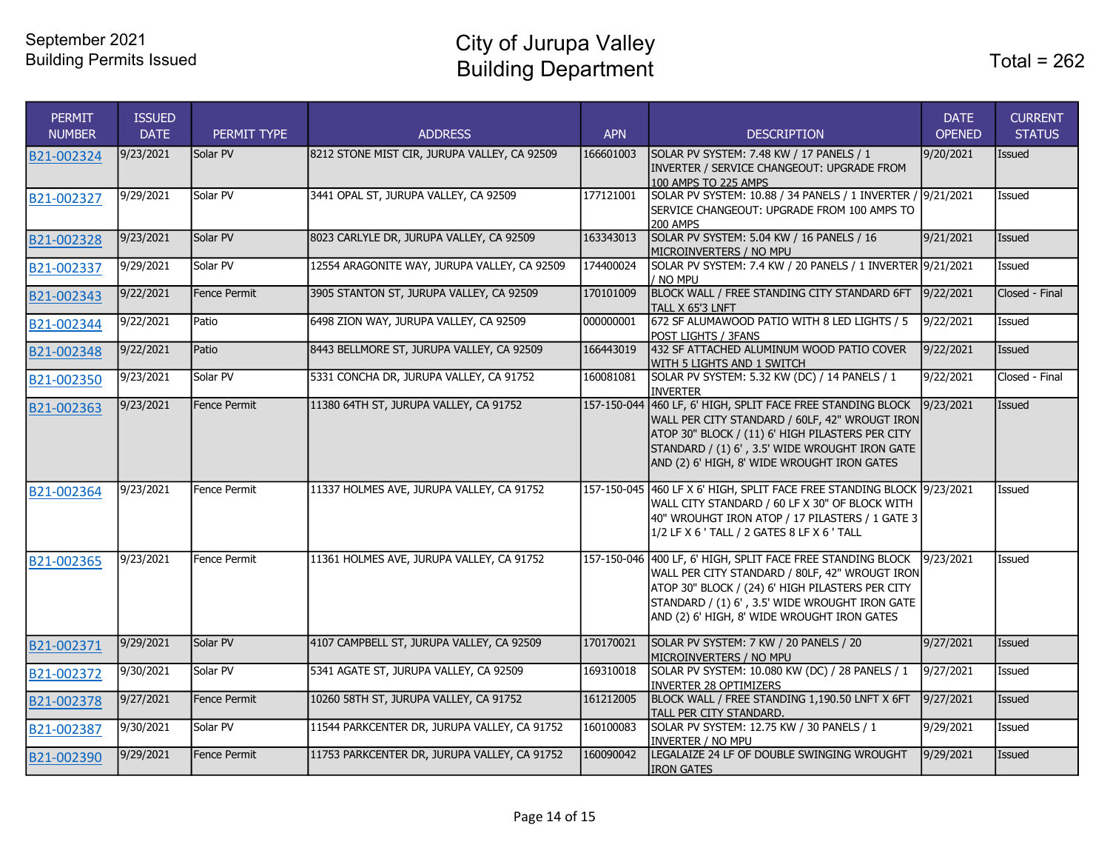City of Jurupa Valley Building Department

| <b>PERMIT</b><br><b>NUMBER</b> | <b>ISSUED</b><br><b>DATE</b> | PERMIT TYPE  | <b>ADDRESS</b>                               | <b>APN</b> | <b>DESCRIPTION</b>                                                                                                                                                                                                                                                 | <b>DATE</b><br><b>OPENED</b> | <b>CURRENT</b><br><b>STATUS</b> |
|--------------------------------|------------------------------|--------------|----------------------------------------------|------------|--------------------------------------------------------------------------------------------------------------------------------------------------------------------------------------------------------------------------------------------------------------------|------------------------------|---------------------------------|
| B21-002324                     | 9/23/2021                    | Solar PV     | 8212 STONE MIST CIR, JURUPA VALLEY, CA 92509 | 166601003  | SOLAR PV SYSTEM: 7.48 KW / 17 PANELS / 1<br>INVERTER / SERVICE CHANGEOUT: UPGRADE FROM<br>100 AMPS TO 225 AMPS                                                                                                                                                     | 9/20/2021                    | Issued                          |
| B21-002327                     | 9/29/2021                    | Solar PV     | 3441 OPAL ST, JURUPA VALLEY, CA 92509        | 177121001  | SOLAR PV SYSTEM: 10.88 / 34 PANELS / 1 INVERTER<br>SERVICE CHANGEOUT: UPGRADE FROM 100 AMPS TO<br><b>200 AMPS</b>                                                                                                                                                  | 9/21/2021                    | Issued                          |
| B21-002328                     | 9/23/2021                    | Solar PV     | 8023 CARLYLE DR, JURUPA VALLEY, CA 92509     | 163343013  | SOLAR PV SYSTEM: 5.04 KW / 16 PANELS / 16<br>MICROINVERTERS / NO MPU                                                                                                                                                                                               | 9/21/2021                    | Issued                          |
| B <sub>21</sub> -002337        | 9/29/2021                    | Solar PV     | 12554 ARAGONITE WAY, JURUPA VALLEY, CA 92509 | 174400024  | SOLAR PV SYSTEM: 7.4 KW / 20 PANELS / 1 INVERTER 9/21/2021<br>' no mpu                                                                                                                                                                                             |                              | Issued                          |
| B21-002343                     | 9/22/2021                    | Fence Permit | 3905 STANTON ST, JURUPA VALLEY, CA 92509     | 170101009  | BLOCK WALL / FREE STANDING CITY STANDARD 6FT<br>TALL X 65'3 LNFT                                                                                                                                                                                                   | 9/22/2021                    | Closed - Final                  |
| B21-002344                     | 9/22/2021                    | Patio        | 6498 ZION WAY, JURUPA VALLEY, CA 92509       | 000000001  | 672 SF ALUMAWOOD PATIO WITH 8 LED LIGHTS / 5<br>POST LIGHTS / 3FANS                                                                                                                                                                                                | 9/22/2021                    | Issued                          |
| B21-002348                     | 9/22/2021                    | Patio        | 8443 BELLMORE ST, JURUPA VALLEY, CA 92509    | 166443019  | 432 SF ATTACHED ALUMINUM WOOD PATIO COVER<br>WITH 5 LIGHTS AND 1 SWITCH                                                                                                                                                                                            | 9/22/2021                    | Issued                          |
| B21-002350                     | 9/23/2021                    | Solar PV     | 5331 CONCHA DR, JURUPA VALLEY, CA 91752      | 160081081  | SOLAR PV SYSTEM: 5.32 KW (DC) / 14 PANELS / 1<br><b>INVERTER</b>                                                                                                                                                                                                   | 9/22/2021                    | Closed - Final                  |
| B21-002363                     | 9/23/2021                    | Fence Permit | 11380 64TH ST, JURUPA VALLEY, CA 91752       |            | 157-150-044 460 LF, 6' HIGH, SPLIT FACE FREE STANDING BLOCK<br>WALL PER CITY STANDARD / 60LF, 42" WROUGT IRON<br>ATOP 30" BLOCK / (11) 6' HIGH PILASTERS PER CITY<br>STANDARD / (1) 6', 3.5' WIDE WROUGHT IRON GATE<br>AND (2) 6' HIGH, 8' WIDE WROUGHT IRON GATES | 9/23/2021                    | <b>Issued</b>                   |
| B21-002364                     | 9/23/2021                    | Fence Permit | 11337 HOLMES AVE, JURUPA VALLEY, CA 91752    |            | 157-150-045 460 LF X 6' HIGH, SPLIT FACE FREE STANDING BLOCK 9/23/2021<br>WALL CITY STANDARD / 60 LF X 30" OF BLOCK WITH<br>40" WROUHGT IRON ATOP / 17 PILASTERS / 1 GATE 3<br>1/2 LF X 6 ' TALL / 2 GATES 8 LF X 6 ' TALL                                         |                              | Issued                          |
| B21-002365                     | 9/23/2021                    | Fence Permit | 11361 HOLMES AVE, JURUPA VALLEY, CA 91752    |            | 157-150-046 400 LF, 6' HIGH, SPLIT FACE FREE STANDING BLOCK<br>WALL PER CITY STANDARD / 80LF, 42" WROUGT IRON<br>ATOP 30" BLOCK / (24) 6' HIGH PILASTERS PER CITY<br>STANDARD / (1) 6', 3.5' WIDE WROUGHT IRON GATE<br>AND (2) 6' HIGH, 8' WIDE WROUGHT IRON GATES | 9/23/2021                    | Issued                          |
| B21-002371                     | 9/29/2021                    | Solar PV     | 4107 CAMPBELL ST, JURUPA VALLEY, CA 92509    | 170170021  | SOLAR PV SYSTEM: 7 KW / 20 PANELS / 20<br>MICROINVERTERS / NO MPU                                                                                                                                                                                                  | 9/27/2021                    | Issued                          |
| B21-002372                     | 9/30/2021                    | Solar PV     | 5341 AGATE ST, JURUPA VALLEY, CA 92509       | 169310018  | SOLAR PV SYSTEM: 10.080 KW (DC) / 28 PANELS / 1<br><b>INVERTER 28 OPTIMIZERS</b>                                                                                                                                                                                   | 9/27/2021                    | Issued                          |
| B21-002378                     | 9/27/2021                    | Fence Permit | 10260 58TH ST, JURUPA VALLEY, CA 91752       | 161212005  | BLOCK WALL / FREE STANDING 1,190.50 LNFT X 6FT<br>TALL PER CITY STANDARD.                                                                                                                                                                                          | 9/27/2021                    | Issued                          |
| B21-002387                     | 9/30/2021                    | Solar PV     | 11544 PARKCENTER DR, JURUPA VALLEY, CA 91752 | 160100083  | SOLAR PV SYSTEM: 12.75 KW / 30 PANELS / 1<br><b>INVERTER / NO MPU</b>                                                                                                                                                                                              | 9/29/2021                    | Issued                          |
| B21-002390                     | 9/29/2021                    | Fence Permit | 11753 PARKCENTER DR, JURUPA VALLEY, CA 91752 | 160090042  | LEGALAIZE 24 LF OF DOUBLE SWINGING WROUGHT<br><b>IRON GATES</b>                                                                                                                                                                                                    | 9/29/2021                    | Issued                          |